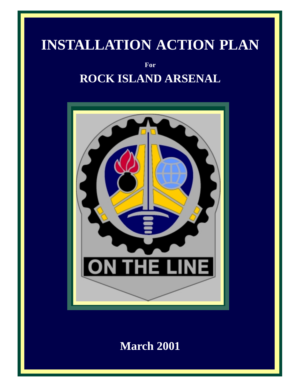## **INSTALLATION ACTION PLAN**

**For ROCK ISLAND ARSENAL**



**March 2001**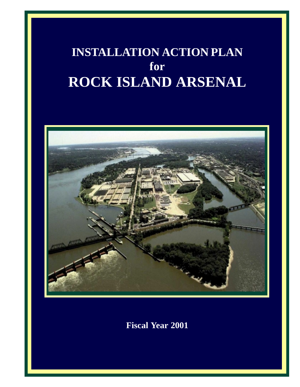## **INSTALLATION ACTION PLAN for ROCK ISLAND ARSENAL**



**Fiscal Year 2001**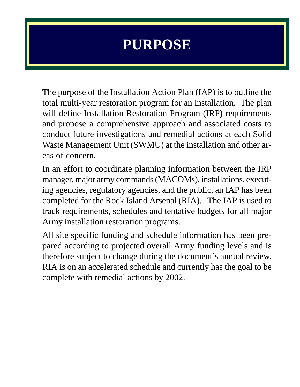## **PURPOSE**

The purpose of the Installation Action Plan (IAP) is to outline the total multi-year restoration program for an installation. The plan will define Installation Restoration Program (IRP) requirements and propose a comprehensive approach and associated costs to conduct future investigations and remedial actions at each Solid Waste Management Unit (SWMU) at the installation and other areas of concern.

In an effort to coordinate planning information between the IRP manager, major army commands (MACOMs), installations, executing agencies, regulatory agencies, and the public, an IAP has been completed for the Rock Island Arsenal (RIA). The IAP is used to track requirements, schedules and tentative budgets for all major Army installation restoration programs.

All site specific funding and schedule information has been prepared according to projected overall Army funding levels and is therefore subject to change during the document's annual review. RIA is on an accelerated schedule and currently has the goal to be complete with remedial actions by 2002.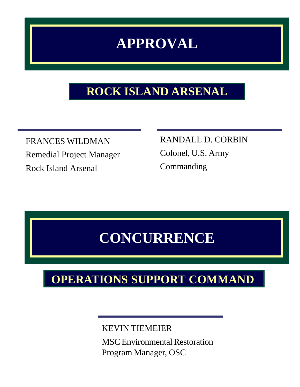## **APPROVAL**

## **ROCK ISLAND ARSENAL**

FRANCES WILDMAN Remedial Project Manager Rock Island Arsenal

RANDALL D. CORBIN Colonel, U.S. Army **Commanding** 

## **CONCURRENCE**

## **OPERATIONS SUPPORT COMMAND**

## KEVIN TIEMEIER

MSC Environmental Restoration Program Manager, OSC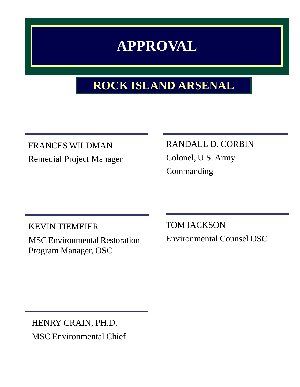## **APPROVAL**

## **ROCK ISLAND ARSENAL**

FRANCES WILDMAN Remedial Project Manager RANDALL D. CORBIN Colonel, U.S. Army Commanding

KEVIN TIEMEIER MSC Environmental Restoration Program Manager, OSC

TOM JACKSON Environmental Counsel OSC

HENRY CRAIN, PH.D. MSC Environmental Chief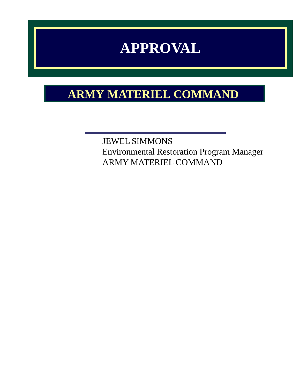## **APPROVAL**

## **ARMY MATERIEL COMMAND**

JEWEL SIMMONS Environmental Restoration Program Manager ARMY MATERIEL COMMAND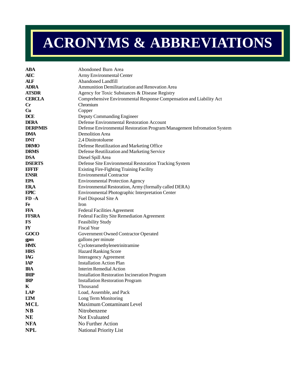# **ACRONYMS & ABBREVIATIONS**

| <b>ABA</b>             | Abondoned Burn Area                                                     |
|------------------------|-------------------------------------------------------------------------|
| <b>AEC</b>             | Army Environmental Center                                               |
| ALF                    | <b>Abandoned Landfill</b>                                               |
| <b>ADRA</b>            | Ammunition Demilitarization and Renovation Area                         |
| <b>ATSDR</b>           | Agency for Toxic Substances & Disease Registry                          |
| <b>CERCLA</b>          | Comprehensive Environmental Response Compensation and Liability Act     |
| $\mathbf{C}$ r         | Chromium                                                                |
| Cu                     | Copper                                                                  |
| <b>DCE</b>             | Deputy Commanding Engineer                                              |
| <b>DERA</b>            | Defense Environmental Restoration Account                               |
| <b>DERP/MIS</b>        | Defense Environmental Restoration Program/Management Infromation System |
| <b>DMA</b>             | Demolition Area                                                         |
| <b>DNT</b>             | 2,4 Dinitrotoluene                                                      |
| <b>DRMO</b>            | Defense Reutilization and Marketing Office                              |
| <b>DRMS</b>            | Defense Reutilization and Marketing Service                             |
| <b>DSA</b>             | Diesel Spill Area                                                       |
| <b>DSERTS</b>          | Defense Site Environmental Restoration Tracking System                  |
| EFFIF                  | Existing Fire-Fighting Training Facility                                |
| <b>ENSR</b>            | <b>Environmental Contractor</b>                                         |
| <b>EPA</b>             | <b>Environmental Protection Agency</b>                                  |
| <b>ERA</b>             | Environmental Restoration, Army (formally called DERA)                  |
| <b>EPIC</b>            | Environmental Photographic Interpretation Center                        |
| $FD - A$               | Fuel Disposal Site A                                                    |
| Fe                     | <b>Iron</b>                                                             |
| <b>FFA</b>             | <b>Federal Facilities Agreement</b>                                     |
| <b>FFSRA</b>           | Federal Facility Site Remediation Agreement                             |
| $_{FS}$                | <b>Feasibility Study</b>                                                |
| $\mathbf{F}\mathbf{Y}$ | <b>Fiscal Year</b>                                                      |
| GOCO                   | Government Owned Contractor Operated                                    |
| gpm                    | gallons per minute                                                      |
| <b>HMX</b>             | Cycloteramethylenetrinitramine                                          |
| <b>HRS</b>             | <b>Hazard Ranking Score</b>                                             |
| <b>IAG</b>             | <b>Interagency Agreement</b>                                            |
| <b>IAP</b>             | <b>Installation Action Plan</b>                                         |
| <b>IRA</b>             | <b>Interim Remedial Action</b>                                          |
| <b>IRIP</b>            | <b>Installation Restoration Incineration Program</b>                    |
| <b>IRP</b>             | <b>Installation Restoration Program</b>                                 |
| K                      | Thousand                                                                |
| LAP                    | Load, Assemble, and Pack                                                |
| <b>LTM</b>             | Long Term Monitoring                                                    |
| <b>MCL</b>             | Maximum Contaminant Level                                               |
| N <sub>B</sub>         | Nitrobenzene                                                            |
| NE                     | Not Evaluated                                                           |
| <b>NFA</b>             | No Further Action                                                       |
| <b>NPL</b>             | National Priority List                                                  |
|                        |                                                                         |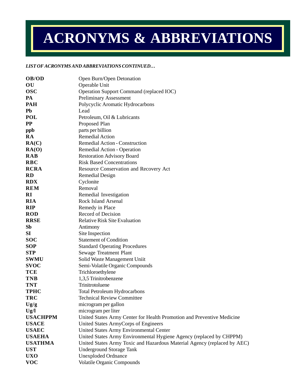# **ACRONYMS & ABBREVIATIONS**

#### *LIST OF ACRONYMS AND ABBREVIATIONS CONTINUED…*

| OB/OD                     | Open Burn/Open Detonation                                                |
|---------------------------|--------------------------------------------------------------------------|
| OU                        | Operable Unit                                                            |
| <b>OSC</b>                | Operation Support Command (replaced IOC)                                 |
| PA                        | <b>Preliminary Assessment</b>                                            |
| <b>PAH</b>                | Polycyclic Aromatic Hydrocarbons                                         |
| Pb                        | Lead                                                                     |
| <b>POL</b>                | Petroleum, Oil & Lubricants                                              |
| <b>PP</b>                 | Proposed Plan                                                            |
| ppb                       | parts per billion                                                        |
| <b>RA</b>                 | <b>Remedial Action</b>                                                   |
| RA(C)                     | Remedial Action - Construction                                           |
| RA(O)                     | Remedial Action - Operation                                              |
| <b>RAB</b>                | <b>Restoration Advisory Board</b>                                        |
| <b>RBC</b>                | <b>Risk Based Concentrations</b>                                         |
| <b>RCRA</b>               | Resource Conservation and Recovery Act                                   |
| <b>RD</b>                 | <b>Remedial Design</b>                                                   |
| <b>RDX</b>                | Cyclonite                                                                |
| <b>REM</b>                | Removal                                                                  |
| RI                        | Remedial Investigation                                                   |
| <b>RIA</b>                | <b>Rock Island Arsenal</b>                                               |
| <b>RIP</b>                | Remedy in Place                                                          |
| <b>ROD</b>                | Record of Decision                                                       |
| <b>RRSE</b>               | <b>Relative Risk Site Evaluation</b>                                     |
| Sb                        | Antimony                                                                 |
| SI                        | Site Inspection                                                          |
| <b>SOC</b>                | <b>Statement of Condition</b>                                            |
| <b>SOP</b>                | <b>Standard Operating Procedures</b>                                     |
| <b>STP</b>                | Sewage Treatment Plant                                                   |
| <b>SWMU</b>               | Solid Waste Management Uniit                                             |
| <b>SVOC</b>               | Semi-Volatile Organic Compounds                                          |
| <b>TCE</b>                | Trichloroethylene                                                        |
| <b>TNB</b>                | 1,3,5 Trinitrobenzene                                                    |
| <b>TNT</b>                | Trinitrotoluene                                                          |
| <b>TPHC</b><br><b>TRC</b> | <b>Total Petroleum Hydrocarbons</b><br><b>Technical Review Committee</b> |
| Ug/g                      | microgram per gallon                                                     |
| Ug/l                      | microgram per liter                                                      |
| <b>USACHPPM</b>           | United States Army Center for Health Promotion and Preventive Medicine   |
| <b>USACE</b>              | United States ArmyCorps of Engineers                                     |
| <b>USAEC</b>              | United States Army Environmental Center                                  |
| <b>USAEHA</b>             | United States Army Environmental Hygiene Agency (replaced by CHPPM)      |
| <b>USATHMA</b>            | United States Army Toxic and Hazardous Material Agency (replaced by AEC) |
| <b>UST</b>                | <b>Underground Storage Tank</b>                                          |
| <b>UXO</b>                | <b>Unexploded Ordnance</b>                                               |
| <b>VOC</b>                | <b>Volatile Organic Compounds</b>                                        |
|                           |                                                                          |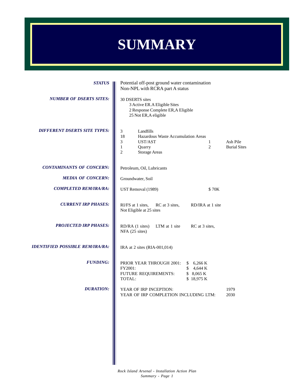## **SUMMARY**

| <b>STATUS</b>                          | Potential off-post ground water contamination<br>Non-NPL with RCRA part A status                                                               |                                                    |                                 |  |  |  |  |
|----------------------------------------|------------------------------------------------------------------------------------------------------------------------------------------------|----------------------------------------------------|---------------------------------|--|--|--|--|
| <b>NUMBER OF DSERTS SITES:</b>         | 30 DSERTS sites<br>3 Active ER.A Eligible Sites<br>2 Response Complete ER, A Eligible<br>25 Not ER, A eligible                                 |                                                    |                                 |  |  |  |  |
| <b>DIFFERENT DSERTS SITE TYPES:</b>    | Landfills<br>3<br>18<br>Hazardous Waste Accumulation Areas<br>3<br>UST/AST<br>$\mathbf{1}$<br>Quarry<br>$\overline{c}$<br><b>Storage Areas</b> | 1<br>2                                             | Ash Pile<br><b>Burial Sites</b> |  |  |  |  |
| <b>CONTAMINANTS OF CONCERN:</b>        | Petroleum, Oil, Lubricants                                                                                                                     |                                                    |                                 |  |  |  |  |
| <b>MEDIA OF CONCERN:</b>               | Groundwater, Soil                                                                                                                              |                                                    |                                 |  |  |  |  |
| <b>COMPLETED REM/IRA/RA:</b>           | UST Removal (1989)                                                                                                                             | \$70K                                              |                                 |  |  |  |  |
| <b>CURRENT IRP PHASES:</b>             | RI/FS at 1 sites,<br>RC at 3 sites,<br>Not Eligible at 25 sites                                                                                | RD/IRA at 1 site                                   |                                 |  |  |  |  |
| <b>PROJECTED IRP PHASES:</b>           | RD/RA (1 sites)<br>LTM at 1 site<br>NFA (25 sites)                                                                                             | RC at 3 sites,                                     |                                 |  |  |  |  |
| <b>IDENTIFIED POSSIBLE REM/IRA/RA:</b> | IRA at 2 sites (RIA-001,014)                                                                                                                   |                                                    |                                 |  |  |  |  |
| <b>FUNDING:</b>                        | PRIOR YEAR THROUGH 2001:<br>FY2001:<br>FUTURE REQUIREMENTS:<br>TOTAL:                                                                          | \$6,266 K<br>\$4,644 K<br>\$ 8,065 K<br>\$18,975 K |                                 |  |  |  |  |
| <b>DURATION:</b>                       | YEAR OF IRP INCEPTION:<br>YEAR OF IRP COMPLETION INCLUDING LTM:                                                                                |                                                    | 1979<br>2030                    |  |  |  |  |
|                                        |                                                                                                                                                |                                                    |                                 |  |  |  |  |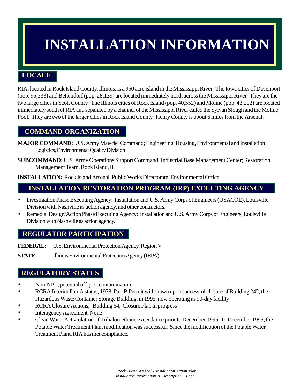## **INSTALLATION INFORMATION**

## **LOCALE**

RIA, located in Rock Island County, Illinois, is a 950 acre island in the Mississippi River. The Iowa cities of Davenport (pop. 95,333) and Bettendorf (pop. 28,139) are located immediately north across the Mississippi River. They are the two large cities in Scott County. The Illinois cities of Rock Island (pop. 40,552) and Moline (pop. 43,202) are located immediately south of RIA and separated by a channel of the Mississippi River called the Sylvan Slough and the Moline Pool. They are two of the larger cities in Rock Island County. Henry County is about 6 miles from the Arsenal.

### **COMMAND ORGANIZATION**

**MAJOR COMMAND:** U.S. Army Materiel Command; Engineering, Housing, Environmental and Installation Logistics, Environmental Quality Division

**SUBCOMMAND:** U.S. Army Operations Support Command; Industrial Base Management Center; Restoration Management Team, Rock Island, IL

**INSTALLATION:** Rock Island Arsenal, Public Works Directorate, Environmental Office

### **INSTALLATION RESTORATION PROGRAM (IRP) EXECUTING AGENCY**

- Investigation Phase Executing Agency: Installation and U.S. Army Corps of Engineers (USACOE), Louisville Division with Nashville as action agency, and other contractors.
- Remedial Design/Action Phase Executing Agency: Installation and U.S. Army Corps of Engineers, Louisville Division with Nashville as action agency.

### **REGULATOR PARTICIPATION**

**FEDERAL:** U.S. Environmental Protection Agency, Region V

**STATE:** Illinois Environmental Protection Agency (IEPA)

### **REGULATORY STATUS**

- Non-NPL, potential off-post contamination
- RCRA Interim Part A status, 1978, Part B Permit withdrawn upon successful closure of Building 242, the Hazardous Waste Container Storage Building, in 1995, now operating as 90-day facility
- RCRA Closure Actions, Building 64, Closure Plan in progress
- Interagency Agreement, None
- Clean Water Act violation of Trihalomethane exceedance prior to December 1995. In December 1995, the Potable Water Treatment Plant modification was successful. Since the modification of the Potable Water Treatment Plant, RIA has met compliance.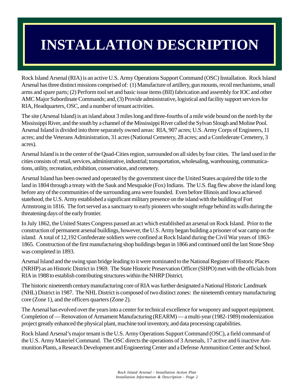## **INSTALLATION DESCRIPTION**

Rock Island Arsenal (RIA) is an active U.S. Army Operations Support Command (OSC) Installation. Rock Island Arsenal has three distinct missions comprised of: (1) Manufacture of artillery, gun mounts, recoil mechanisms, small arms and spare parts; (2) Perform tool set and basic issue items (BII) fabrication and assembly for IOC and other AMC Major Subordinate Commands; and, (3) Provide administrative, logistical and facility support services for RIA, Headquarters, OSC, and a number of tenant activities.

The site (Arsenal Island) is an island about 3 miles long and three-fourths of a mile wide bound on the north by the Mississippi River, and the south by a channel of the Mississippi River called the Sylvan Slough and Moline Pool. Arsenal Island is divided into three separately owned areas: RIA, 907 acres; U.S. Army Corps of Engineers, 11 acres; and the Veterans Administration, 31 acres (National Cemetery, 28 acres; and a Confederate Cemetery, 3 acres).

Arsenal Island is in the center of the Quad-Cities region, surrounded on all sides by four cities. The land used in the cities consists of: retail, services, administrative, industrial; transportation, wholesaling, warehousing, communications, utility, recreation, exhibition, conservation, and cemetery.

Arsenal Island has been owned and operated by the government since the United States acquired the title to the land in 1804 through a treaty with the Sauk and Mesquakie (Fox) Indians. The U.S. flag flew above the island long before any of the communities of the surrounding area were founded. Even before Illinois and Iowa achieved statehood, the U.S. Army established a significant military presence on the island with the building of Fort Armstrong in 1816. The fort served as a sanctuary to early pioneers who sought refuge behind its walls during the threatening days of the early frontier.

In July 1862, the United States Congress passed an act which established an arsenal on Rock Island. Prior to the construction of permanent arsenal buildings, however, the U.S. Army began building a prisoner of war camp on the island. A total of 12,192 Confederate soldiers were confined at Rock Island during the Civil War years of 1863- 1865. Construction of the first manufacturing shop buildings began in 1866 and continued until the last Stone Shop was completed in 1893.

Arsenal Island and the swing span bridge leading to it were nominated to the National Register of Historic Places (NRHP) as an Historic District in 1969. The State Historic Preservation Officer (SHPO) met with the officials from RIA in 1988 to establish contributing structures within the NHRP District.

The historic nineteenth century manufacturing core of RIA was further designated a National Historic Landmark (NHL) District in 1987. The NHL District is composed of two distinct zones: the nineteenth century manufacturing core (Zone 1), and the officers quarters (Zone 2).

The Arsenal has evolved over the years into a center for technical excellence for weaponry and support equipment. Completion of — Renovation of Armament Manufacturing (REARM) — a multi-year (1982-1989) modernization project greatly enhanced the physical plant, machine tool inventory, and data processing capabilities.

Rock Island Arsenal's major tenant is the U.S. Army Operations Support Command (OSC), a field command of the U.S. Army Materiel Command. The OSC directs the operations of 3 Arsenals, 17 active and 6 inactive Ammunition Plants, a Research Development and Engineering Center and a Defense Ammunition Center and School.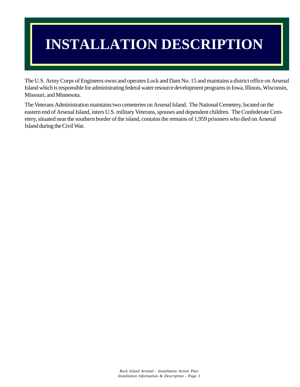## **INSTALLATION DESCRIPTION**

The U.S. Army Corps of Engineers owns and operates Lock and Dam No. 15 and maintains a district office on Arsenal Island which is responsible for administrating federal water resource development programs in Iowa, Illinois, Wisconsin, Missouri, and Minnesota.

The Veterans Administration maintains two cemeteries on Arsenal Island. The National Cemetery, located on the eastern end of Arsenal Island, inters U.S. military Veterans, spouses and dependent children. The Confederate Cemetery, situated near the southern border of the island, contains the remains of 1,959 prisoners who died on Arsenal Island during the Civil War.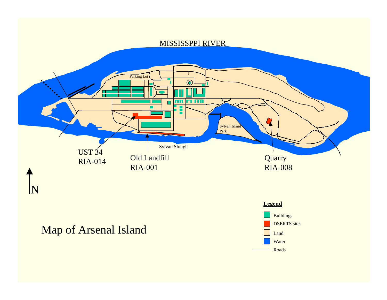## MISSISSPPI RIVER



## Map of Arsenal Island

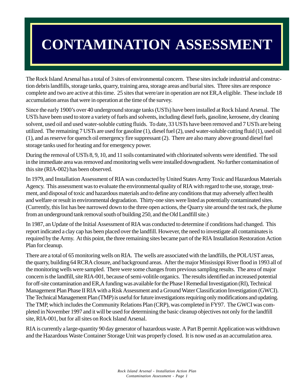## **CONTAMINATION ASSESSMENT**

The Rock Island Arsenal has a total of 3 sites of environmental concern. These sites include industrial and construction debris landfills, storage tanks, quarry, training area, storage areas and burial sites. Three sites are responce complete and two are active at this time. 25 sites that were/are in operation are not ER,A eligible. These include 18 accumulation areas that were in operation at the time of the survey.

Since the early 1900's over 40 underground storage tanks (USTs) have been installed at Rock Island Arsenal. The USTs have been used to store a variety of fuels and solvents, including diesel fuels, gasoline, kerosene, dry cleaning solvent, used oil and used water-soluble cutting fluids. To date, 33 USTs have been removed and 7 USTs are being utilized. The remaining 7 USTs are used for gasoline (1), diesel fuel (2), used water-soluble cutting fluid (1), used oil (1), and as reserve for quench oil emergency fire suppressant (2). There are also many above ground diesel fuel storage tanks used for heating and for emergency power.

During the removal of USTs 8, 9, 10, and 11 soils contaminated with chlorinated solvents were identified. The soil in the immediate area was removed and monitoring wells were installed downgradient. No further contamination of this site (RIA-002) has been observed.

In 1979, and Installation Assessment of RIA was conducted by United States Army Toxic and Hazardous Materials Agency. This assessment was to evaluate the environmental quality of RIA with regard to the use, storage, treatment, and disposal of toxic and hazardous materials and to define any conditions that may adversely affect health and welfare or result in environmental degradation. Thirty-one sites were listed as potentially contaminated sites. (Currently, this list has bee narrowed down to the three open actions, the Quarry site around the test rack, the plume from an underground tank removal south of building 250, and the Old Landfill site.)

In 1987, an Update of the Initial Assessment of RIA was conducted to determine if conditions had changed. This report indicated a clay cap has been placed over the landfill. However, the need to investigate all contaminates is required by the Army. At this point, the three remaining sites became part of the RIA Installation Restoration Action Plan for cleanup.

There are a total of 65 monitoring wells on RIA. The wells are associated with the landfills, the POL/UST areas, the quarry, building 64 RCRA closure, and background areas. After the major Mississippi River flood in 1993 all of the monitoring wells were sampled. There were some changes from previous sampling results. The area of major concern is the landfill, site RIA-001, because of semi-volitile organics. The results identified an increased potential for off-site contamination and ER,A funding was available for the Phase I Remedial Investigation (RI), Technical Management Plan Phase II RIA with a Risk Assessment and a Ground Water Classification Investigation (GWCI). The Technical Management Plan (TMP) is useful for future investigations requiring only modifications and updating. The TMP, which includes the Community Relations Plan (CRP), was completed in FY97. The GWCI was completed in November 1997 and it will be used for determining the basic cleanup objectives not only for the landfill site, RIA-001, but for all sites on Rock Island Arsenal.

RIA is currently a large-quantity 90 day generator of hazardous waste. A Part B permit Application was withdrawn and the Hazardous Waste Container Storage Unit was properly closed. It is now used as an accumulation area.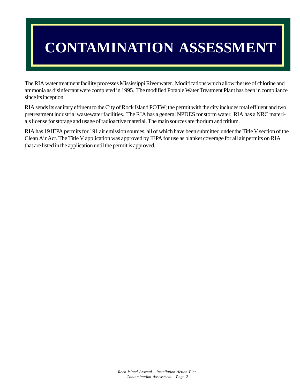# **CONTAMINATION ASSESSMENT**

The RIA water treatment facility processes Mississippi River water. Modifications which allow the use of chlorine and ammonia as disinfectant were completed in 1995. The modified Potable Water Treatment Plant has been in compliance since its inception.

RIA sends its sanitary effluent to the City of Rock Island POTW; the permit with the city includes total effluent and two pretreatment industrial wastewater facilities. The RIA has a general NPDES for storm water. RIA has a NRC materials license for storage and usage of radioactive material. The main sources are thorium and tritium.

RIA has 19 IEPA permits for 191 air emission sources, all of which have been submitted under the Title V section of the Clean Air Act. The Title V application was approved by IEPA for use as blanket coverage for all air permits on RIA that are listed in the application until the permit is approved.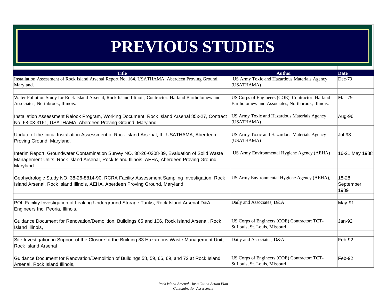## **PREVIOUS STUDIES**

| <b>Title</b>                                                                                             | <b>Author</b>                                     | <b>Date</b>    |
|----------------------------------------------------------------------------------------------------------|---------------------------------------------------|----------------|
| Installation Assessment of Rock Island Arsenal Report No. 164, USATHAMA, Aberdeen Proving Ground,        | US Army Toxic and Hazardous Materials Agency      | $Dec-79$       |
| Maryland.                                                                                                | (USATHAMA)                                        |                |
|                                                                                                          |                                                   |                |
| Water Pollution Study for Rock Island Arsenal, Rock Island Illinois, Contractor: Harland Bartholomew and | US Corps of Engineers (COE), Contractor: Harland  | Mar-79         |
| Associates, Northbrook, Illinois.                                                                        | Bartholomew and Associates, Northbrook, Illinois. |                |
|                                                                                                          |                                                   |                |
| Installation Assessment Relook Program, Working Document, Rock Island Arsenal 85x-27, Contract           | US Army Toxic and Hazardous Materials Agency      | Aug-96         |
| No. 68-03-3161, USATHAMA, Aberdeen Proving Ground, Maryland.                                             | (USATHAMA)                                        |                |
| Update of the Initial Installation Assessment of Rock Island Arsenal, IL, USATHAMA, Aberdeen             | US Army Toxic and Hazardous Materials Agency      | <b>Jul-98</b>  |
| Proving Ground, Maryland.                                                                                | (USATHAMA)                                        |                |
|                                                                                                          |                                                   |                |
| Interim Report, Groundwater Contamination Survey NO. 38-26-0308-89, Evaluation of Solid Waste            | US Army Environmental Hygiene Agency (AEHA)       | 16-21 May 1988 |
| Management Units, Rock Island Arsenal, Rock Island Illinois, AEHA, Aberdeen Proving Ground,              |                                                   |                |
| Maryland                                                                                                 |                                                   |                |
|                                                                                                          |                                                   |                |
| Geohydrologic Study NO. 38-26-8814-90, RCRA Facility Assessment Sampling Investigation, Rock             | US Army Environmental Hygiene Agency (AEHA),      | 18-28          |
| Island Arsenal, Rock Island Illinois, AEHA, Aberdeen Proving Ground, Maryland                            |                                                   | September      |
|                                                                                                          |                                                   | 1989           |
|                                                                                                          |                                                   |                |
| POL Facility Investigation of Leaking Underground Storage Tanks, Rock Island Arsenal D&A,                | Daily and Associates, D&A                         | May-91         |
| Engineers Inc, Peoria, Illinois.                                                                         |                                                   |                |
| Guidance Document for Renovation/Demolition, Buildings 65 and 106, Rock Island Arsenal, Rock             | US Corps of Engineers (COE), Contractor: TCT-     | Jan-92         |
| Island Illinois,                                                                                         | St.Louis, St. Louis, Missouri.                    |                |
|                                                                                                          |                                                   |                |
| Site Investigation in Support of the Closure of the Building 33 Hazardous Waste Management Unit,         | Daily and Associates, D&A                         | Feb-92         |
| <b>Rock Island Arsenal</b>                                                                               |                                                   |                |
|                                                                                                          |                                                   |                |
| Guidance Document for Renovation/Demolition of Buildings 58, 59, 66, 69, and 72 at Rock Island           | US Corps of Engineers (COE) Contractor: TCT-      | Feb-92         |
| Arsenal, Rock Island Illinois,                                                                           | St.Louis, St. Louis, Missouri.                    |                |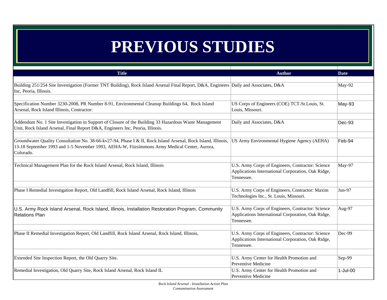## **PREVIOUS STUDIES**

| <b>Title</b>                                                                                                                                                                                                               | <b>Author</b>                                                                                                         | <b>Date</b> |
|----------------------------------------------------------------------------------------------------------------------------------------------------------------------------------------------------------------------------|-----------------------------------------------------------------------------------------------------------------------|-------------|
| Building 251/254 Site Investigation (Former TNT Building), Rock Island Arsenal Final Report, D&A, Engineers Daily and Associates, D&A<br>Inc, Peoria, Illinois.                                                            |                                                                                                                       | May-92      |
| Specification Number 3230-2008, PR Number 8-91, Environmental Cleanup Buildings 64, Rock Island<br>Arsenal, Rock Island Illinois, Contractor:                                                                              | US Corps of Engineers (COE) TCT-St.Louis, St.<br>Louis, Missouri.                                                     | May-93      |
| Addendum No. 1 Site Investigation in Support of Closure of the Building 33 Hazardous Waste Management<br>Unit, Rock Island Arsenal, Final Report D&A, Engineers Inc, Peoria, Illinois.                                     | Daily and Associates, D&A                                                                                             | Dec-93      |
| Groundwater Quality Consultation No. 38-66-kv27-94, Phase I & II, Rock Island Arsenal, Rock Island, Illinois,<br>13-18 September 1993 and 1-5 November 1993, AEHA-W, Fitzsimmons Army Medical Center, Aurora,<br>Colorado. | US Army Environmental Hygiene Agency (AEHA)                                                                           | Feb-94      |
| Technical Management Plan for the Rock Island Arsenal, Rock Island, Illinois                                                                                                                                               | U.S. Army Corps of Engineers, Contractor: Science<br>Applications International Corporation, Oak Ridge,<br>Tennessee. | May-97      |
| Phase I Remedial Investigation Report, Old Landfill, Rock Island Arsenal, Rock Island, Illinois                                                                                                                            | U.S. Army Corps of Engineers, Contractor: Maxim<br>Technologies Inc., St. Louis, Missouri.                            | Jun-97      |
| U.S. Army Rock Island Arsenal, Rock Island, Illinois, Installation Restoration Program, Community<br><b>Relations Plan</b>                                                                                                 | U.S. Army Corps of Engineers, Contractor: Science<br>Applications International Corporation, Oak Ridge,<br>Tennessee. | Aug-97      |
| Phase II Remedial Investigation Report, Old Landfill, Rock Island Arsenal, Rock Island, Illinois,                                                                                                                          | U.S. Army Corps of Engineers, Contractor: Science<br>Applications International Corporation, Oak Ridge,<br>Tennessee. | Dec-99      |
| Extended Site Inspection Report, the Old Quarry Site.                                                                                                                                                                      | U.S. Army Center for Health Promotion and<br>Preventive Medicine                                                      | Sep-99      |
| Remedial Investigation, Old Quarry Site, Rock Island Arsenal, Rock Island IL                                                                                                                                               | U.S. Army Center for Health Promotion and<br>Preventive Medicine                                                      | 1-Jul-00    |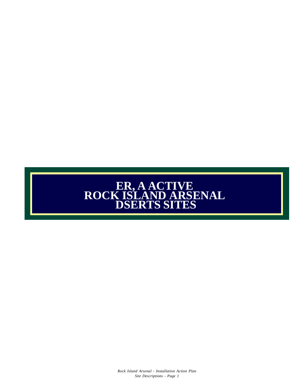## **ER, A ACTIVE ROCK ISLAND ARSENAL DSERTS SITES**

*Rock Island Arsenal - Installation Action Plan Site Descriptions - Page 1*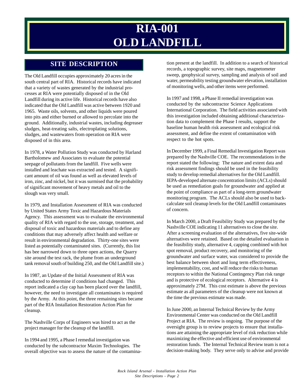## **RIA-001 OLD LANDFILL**

The Old Landfill occupies approximately 20 acres in the south central part of RIA. Historical records have indicated that a variety of wastes generated by the industrial processes at RIA were potentially disposed of in the Old Landfill during its active life. Historical records have also indicated that the Old Landfill was active between 1920 and 1965. Waste oils, solvents, and other liquids were poured into pits and either burned or allowed to percolate into the ground. Additionally, industrial wastes, including degreaser sludges, heat-treating salts, electroplating solutions, sludges, and wastewaters from operation on RIA were disposed of in this area.

In 1978, a Water Pollution Study was conducted by Harland Bartholomew and Associates to evaluate the potential seepage of pollutants from the landfill. Five wells were installed and leachate was extracted and tested. A significant amount of oil was found as well as elevated levels of iron, zinc, and nickel, but it was surmised that the probability of significant movement of heavy metals and oil to the slough was very small.

In 1979, and Installation Assessment of RIA was conducted by United States Army Toxic and Hazardous Materials Agency. This assessment was to evaluate the environmental quality of RIA with regard to the use, storage, treatment, and disposal of toxic and hazardous materials and to define any conditions that may adversely affect health and welfare or result in environmental degradation. Thirty-one sites were listed as potentially contaminated sites. (Currently, this list has bee narrowed down to three open actions, the Quarry site around the test rack, the plume from an underground tank removal south of building 250, and the Old Landfill site.)

In 1987, an Update of the Initial Assessment of RIA was conducted to determine if conditions had changed. This report indicated a clay cap has been placed over the landfill, however, the need to investigate all contaminates is required by the Army. At this point, the three remaining sites became part of the RIA Installation Restoration Action Plan for cleanup.

The Nashville Corps of Engineers was hired to act as the project manager for the cleanup of the landfill.

In 1994 and 1995, a Phase I remedial investigation was conducted by the subcontractor Maxim Technologies. The overall objective was to assess the nature of the contamina-

**SITE DESCRIPTION** tion present at the landfill. In addition to a search of historical records, a topographic survey, site maps, magnetometer sweep, geophysical survey, sampling and analysis of soil and water, permeability testing groundwater elevation, installation of monitoring wells, and other items were performed.

> In 1997 and 1998, a Phase II remedial investigation was conducted by the subcontractor Science Applications International Corporation. The field activities associated with this investigation included obtaining additional characterization data to complement the Phase I results, support the baseline human health risk assessment and ecological risk assessment, and define the extent of contamination with respect to the hot spots.

> In December 1999, a Final Remedial Investigation Report was prepared by the Nashville COE. The recommendations in the report stated the following: The nature and extent data and risk assessment findings should be used in the feasibility study to develop remedial alternatives for the Old Landfill. IEPA-developed alternate concentration limits (ACLs) should be used as remediation goals for groundwater and applied at the point of compliance as part of a long-term groundwater monitoring program. The ACLs should also be used to backcalculate soil cleanup levels for the Old Landfill contaminates of concern.

In March 2000, a Draft Feasibility Study was prepared by the Nashville COE indicating 11 alternatives to close the site. After a screening evaluation of the alternatives, five site-wide alternatives were retained. Based on the detailed evaluation in the feasibility study, alternative 4, capping combined with hot spot removal, product recovery, and monitoring of the groundwater and surface water, was considered to provide the best balance between short and long term effectiveness, implementability, cost, and will reduce the risks to human receptors to within the National Contingency Plan risk range and is protective of ecological receptors. Alternative 4 is approximately 27M. This cost estimate is above the previous estimate as all parameters of the cleanup were not known at the time the previous estimate was made.

In June 2000, an Internal Technical Review by the Army Environmental Center was conducted on the Old Landfill Project at RIA. The review is ongoing. The purpose of the oversight group is to review projects to ensure that installations are attaining the appropriate level of risk reduction while maximizing the effective and efficient use of environmental restoration funds. The Internal Technical Review team is not a decision-making body. They serve only to advise and provide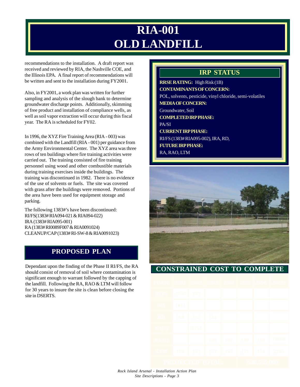## **RIA-001 OLD LANDFILL**

recommendations to the installation. A draft report was received and reviewed by RIA, the Nashville COE, and the Illinois EPA. A final report of recommendations will be written and sent to the installation during FY2001.

Also, in FY2001, a work plan was written for further sampling and analysis of the slough bank to determine groundwater discharge points. Additionally, skimming of free product and installation of compliance wells, as well as soil vapor extraction will occur during this fiscal year. The RA is scheduled for FY02.

In 1996, the XYZ Fire Training Area (RIA - 003) was combined with the Landfill (RIA - 001) per guidance from the Army Environmental Center. The XYZ area was three rows of ten buildings where fire training activities were carried out. The training consisted of fire training personnel using wood and other combustible materials during training exercises inside the buildings. The training was discontinued in 1982. There is no evidence of the use of solvents or fuels. The site was covered with grass after the buildings were removed. Portions of the area have been used for equipment storage and parking.

The following 1383#'s have been discontinued: RI/FS(1383# RIA094-021 & RIA094-022) IRA (1383# RIA095-001) RA (1383# RI0089F007 & RIA0091024) CLEANUP/CAP (1383# RI-SW-8 & RIA0091023)

## **PROPOSED PLAN**

Dependant upon the finding of the Phase II RI/FS, the RA should consist of removal of soil where contamination is significant enough to warrant followed by the capping of the landfill. Following the RA, RAO & LTM will follow for 30 years to insure the site is clean before closing the site in DSERTS.

## **IRP STATUS**

**RRSE RATING:** High Risk (1B) **CONTAMINANTS OF CONCERN:** POL, solvents, pesticide, vinyl chloride, semi-volatiles **MEDIA OF CONCERN:** Groundwater, Soil **COMPLETED IRP PHASE:** PA/SI **CURRENT IRP PHASE:** RI/FS (1383# RIA095-002), IRA, RD, **FUTURE IRP PHASE:** RA, RAO, LTM



### **CONSTRAINED COST TO COMPLETE**

|  |          |           | $\mathbb{E}$ 2001 2002 2003 2004 2005 200 |     |               |     |       |
|--|----------|-----------|-------------------------------------------|-----|---------------|-----|-------|
|  | 2700 193 |           |                                           |     |               |     |       |
|  | 1011     |           |                                           |     |               |     |       |
|  | 500      | $150$ 135 |                                           |     |               |     |       |
|  |          | 3310      |                                           |     |               |     |       |
|  |          |           | 100                                       |     | $100$ 100 100 |     | 19000 |
|  | 100      | 153       | 153                                       | 153 | 153           | 153 | 2295  |
|  |          |           |                                           |     |               |     |       |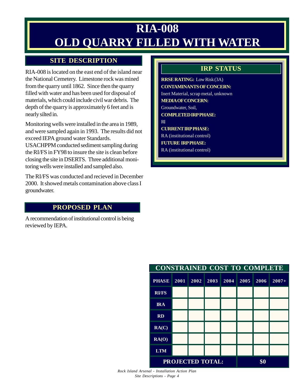## **RIA-008 OLD QUARRY FILLED WITH WATER**

### **SITE DESCRIPTION**

RIA-008 is located on the east end of the island near the National Cemetery. Limestone rock was mined from the quarry until 1862. Since then the quarry filled with water and has been used for disposal of materials, which could include civil war debris. The depth of the quarry is approximately 6 feet and is nearly silted in.

Monitoring wells were installed in the area in 1989, and were sampled again in 1993. The results did not exceed IEPA ground water Standards.

USACHPPM conducted sediment sampling during the RI/FS in FY98 to insure the site is clean before closing the site in DSERTS. Three additional monitoring wells were installed and sampled also.

The RI/FS was conducted and recieved in December 2000. It showed metals contamination above class I groundwater.

### **PROPOSED PLAN**

A recommendation of institutional control is being reviewed by IEPA.

## **IRP STATUS**

**RRSE RATING:** Low Risk (3A) **CONTAMINANTS OF CONCERN:** Inert Material, scrap metal, unknown **MEDIA OF CONCERN:** Groundwater, Soil, **COMPLETED IRP PHASE:** RI **CURRENT IRP PHASE:** RA (institutional control) **FUTURE IRP PHASE:** RA (institutional control)

| <b>CONSTRAINED COST TO COMPLETE</b> |      |      |      |      |      |      |         |
|-------------------------------------|------|------|------|------|------|------|---------|
| <b>PHASE</b>                        | 2001 | 2002 | 2003 | 2004 | 2005 | 2006 | $2007+$ |
| <b>RI/FS</b>                        |      |      |      |      |      |      |         |
| <b>IRA</b>                          |      |      |      |      |      |      |         |
| <b>RD</b>                           |      |      |      |      |      |      |         |
| RA(C)                               |      |      |      |      |      |      |         |
| RA(O)                               |      |      |      |      |      |      |         |
| <b>LTM</b>                          |      |      |      |      |      |      |         |
| <b>PROJECTED TOTAL:</b>             |      |      |      |      | \$0  |      |         |

*Rock Island Arsenal - Installation Action Plan Site Descriptions - Page 4*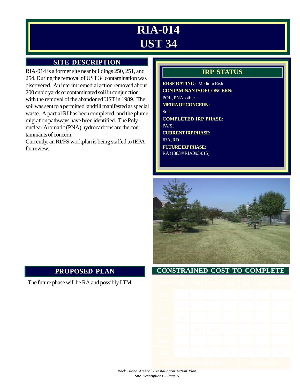## **RIA-014 UST 34**

## **SITE DESCRIPTION**

RIA-014 is a former site near buildings 250, 251, and 254. During the removal of UST 34 contamination was discovered. An interim remedial action removed about 200 cubic yards of contaminated soil in conjunction with the removal of the abandoned UST in 1989. The soil was sent to a permitted landfill manifested as special waste. A partial RI has been completed, and the plume migration pathways have been identified. The Polynuclear Aromatic (PNA) hydrocarbons are the contaminants of concern.

Currently, an RI/FS workplan is being staffed to IEPA for review.

## **IRP STATUS**

**RRSE RATING:** Medium Risk **CONTAMINANTS OF CONCERN:** POL, PNA, other **MEDIA OF CONCERN:** Soil **COMPLETED IRP PHASE:** PA/SI **CURRENT IRP PHASE:** IRA, RD **FUTURE IRP PHASE:** RA (1383 # RIA093-015)



### **CONSTRAINED COST TO COMPLETE**

| <b>B</b> 1     |     |    | 2001 2002 2003 2004 2005 20 |    |    |    |     |
|----------------|-----|----|-----------------------------|----|----|----|-----|
|                |     |    |                             |    |    |    |     |
|                | 133 |    |                             |    |    |    |     |
|                | 200 |    |                             |    |    |    |     |
|                |     |    | $100$   100                 |    |    |    |     |
|                |     |    |                             |    |    |    |     |
|                |     | 60 | 23                          | 23 | 23 | 23 | 345 |
| UÐ,<br>Œ<br>ß, |     |    |                             |    |    | R  |     |

### **PROPOSED PLAN**

The future phase will be RA and possibly LTM.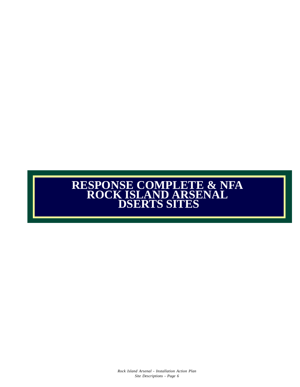## **RESPONSE COMPLETE & NFA ROCK ISLAND ARSENAL DSERTS SITES**

*Rock Island Arsenal - Installation Action Plan Site Descriptions - Page 6*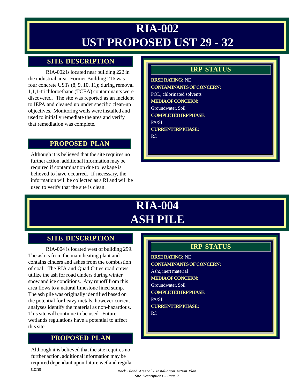## **RIA-002 UST PROPOSED UST 29 - 32**

### **SITE DESCRIPTION**

RIA-002 is located near building 222 in the industrial area. Former Building 216 was four concrete USTs (8, 9, 10, 11); during removal 1,1,1-trichloroethane (TCEA) contaminants were discovered. The site was reported as an incident to IEPA and cleaned up under specific clean-up objectives. Monitoring wells were installed and used to initially remediate the area and verify that remediation was complete.

### **PROPOSED PLAN**

Although it is believed that the site requires no further action, additional information may be required if contamination due to leakage is believed to have occurred. If necessary, the information will be collected as a RI and will be used to verify that the site is clean.

### **IRP STATUS**

**RRSE RATING:** NE **CONTAMINANTS OF CONCERN:** POL, chlorinated solvents **MEDIA OF CONCERN:** Groundwater, Soil **COMPLETED IRP PHASE:** PA/SI **CURRENT IRP PHASE:** RC

## **RIA-004 ASH PILE**

### **SITE DESCRIPTION**

RIA-004 is located west of building 299. The ash is from the main heating plant and contains cinders and ashes from the combustion of coal. The RIA and Quad Cities road crews utilize the ash for road cinders during winter snow and ice conditions. Any runoff from this area flows to a natural limestone lined sump. The ash pile was originally identified based on the potential for heavy metals, however current analyses identify the material as non-hazardous. This site will continue to be used. Future wetlands regulations have a potential to affect this site.

## **PROPOSED PLAN**

Although it is believed that the site requires no further action, additional information may be required dependant upon future wetland regulations

### **IRP STATUS**

**RRSE RATING:** NE **CONTAMINANTS OF CONCERN:** Ash;, inert material **MEDIA OF CONCERN:** Groundwater, Soil **COMPLETED IRP PHASE:** PA/SI **CURRENT IRP PHASE:** RC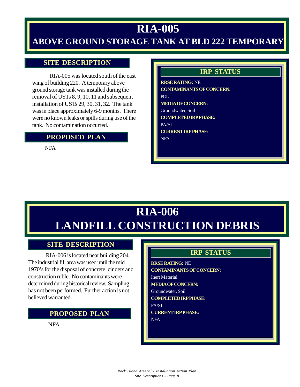## **RIA-005 ABOVE GROUND STORAGE TANK AT BLD 222 TEMPORARY**

### **SITE DESCRIPTION**

RIA-005 was located south of the east wing of building 220. A temporary above ground storage tank was installed during the removal of USTs 8, 9, 10, 11 and subsequent installation of USTs 29, 30, 31, 32. The tank was in place approximately 6-9 months. There were no known leaks or spills during use of the tank. No contamination occurred.

### **PROPOSED PLAN**

**NFA** 

## **IRP STATUS**

**RRSE RATING:** NE **CONTAMINANTS OF CONCERN:** POL **MEDIA OF CONCERN:** Groundwater, Soil **COMPLETED IRP PHASE:** PA/SI **CURRENT IRP PHASE:** NFA

## **RIA-006 LANDFILL CONSTRUCTION DEBRIS**

### **SITE DESCRIPTION**

RIA-006 is located near building 204. The industrial fill area was used until the mid 1970's for the disposal of concrete, cinders and construction ruble. No contaminants were determined during historical review. Sampling has not been performed. Further action is not believed warranted.

### **PROPOSED PLAN**

NFA

## **IRP STATUS**

**RRSE RATING:** NE **CONTAMINANTS OF CONCERN:** Inert Material **MEDIA OF CONCERN:** Groundwater, Soil **COMPLETED IRP PHASE:** PA/SI **CURRENT IRP PHASE:** NFA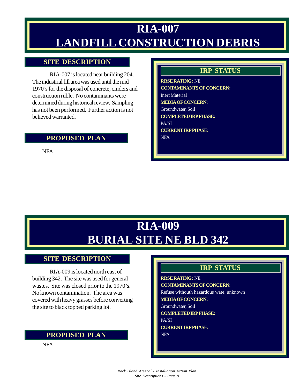## **RIA-007 LANDFILL CONSTRUCTION DEBRIS**

### **SITE DESCRIPTION**

RIA-007 is located near building 204. The industrial fill area was used until the mid 1970's for the disposal of concrete, cinders and construction ruble. No contaminants were determined during historical review. Sampling has not been performed. Further action is not believed warranted.

### **PROPOSED PLAN**

NFA

## **IRP STATUS**

**RRSE RATING:** NE **CONTAMINANTS OF CONCERN:** Inert Material **MEDIA OF CONCERN:** Groundwater, Soil **COMPLETED IRP PHASE:** PA/SI **CURRENT IRP PHASE:** NFA

## **RIA-009 BURIAL SITE NE BLD 342**

#### **SITE DESCRIPTION**

RIA-009 is located north east of building 342. The site was used for general wastes. Site was closed prior to the 1970's. No known contamination. The area was covered with heavy grasses before converting the site to black topped parking lot.

#### **PROPOSED PLAN**

NFA

## **IRP STATUS**

#### **RRSE RATING:** NE

**CONTAMINANTS OF CONCERN:**

Refuse withouth hazardous wate, unknown

**MEDIA OF CONCERN:**

- Groundwater, Soil
- **COMPLETED IRP PHASE:**

PA/SI

**CURRENT IRP PHASE:** NFA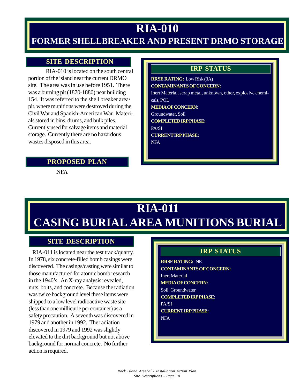## **RIA-010**

## **FORMER SHELLBREAKER AND PRESENT DRMO STORAGE**

### **SITE DESCRIPTION**

RIA-010 is located on the south central portion of the island near the current DRMO site. The area was in use before 1951. There was a burning pit (1870-1880) near building 154. It was referred to the shell breaker area/ pit, where munitions were destroyed during the Civil War and Spanish-American War. Materials stored in bins, drums, and bulk piles. Currently used for salvage items and material storage. Currently there are no hazardous wastes disposed in this area.

### **IRP STATUS**

**RRSE RATING:** Low Risk (3A) **CONTAMINANTS OF CONCERN:** Inert Material, scrap metal, unknown, other, explosive chemicals, POL **MEDIA OF CONCERN:** Groundwater, Soil **COMPLETED IRP PHASE:** PA/SI **CURRENT IRP PHASE:** NFA

## **PROPOSED PLAN**

NFA

## **RIA-011 CASING BURIAL AREA MUNITIONS BURIAL**

### **SITE DESCRIPTION**

 RIA-011 is located near the test track/quarry. In 1978, six concrete-filled bomb casings were discovered. The casings/casting were similar to those manufactured for atomic bomb research in the 1940's. An X-ray analysis revealed, nuts, bolts, and concrete. Because the radiation was twice background level these items were shipped to a low level radioactive waste site (less than one millicurie per container) as a safety precaution. A seventh was discovered in 1979 and another in 1992. The radiation discovered in 1979 and 1992 was slightly elevated to the dirt background but not above background for normal concrete. No further action is required.

## **IRP STATUS**

**RRSE RATING:** NE **CONTAMINANTS OF CONCERN:** Inert Material **MEDIA OF CONCERN:** Soil, Groundwater **COMPLETED IRP PHASE:** PA/SI **CURRENT IRP PHASE:**

NFA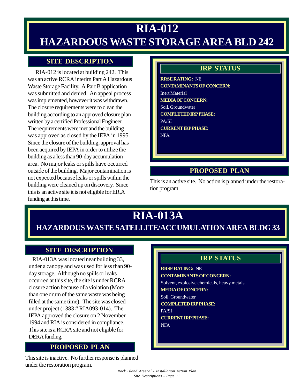## **RIA-012 HAZARDOUS WASTE STORAGE AREA BLD 242**

## **SITE DESCRIPTION**

 RIA-012 is located at building 242. This was an active RCRA interim Part A Hazardous Waste Storage Facility. A Part B application was submitted and denied. An appeal process was implemented, however it was withdrawn. The closure requirements were to clean the building according to an approved closure plan written by a certified Professional Engineer. The requirements were met and the building was approved as closed by the IEPA in 1995. Since the closure of the building, approval has been acquired by IEPA in order to utilize the building as a less than 90-day accumulation area. No major leaks or spills have occurred outside of the building. Major contamination is not expected because leaks or spills within the building were cleaned up on discovery. Since this is an active site it is not eligible for ER,A funding at this time.

### **IRP STATUS**

**RRSE RATING:** NE **CONTAMINANTS OF CONCERN:** Inert Material **MEDIA OF CONCERN:** Soil, Groundwater **COMPLETED IRP PHASE:** PA/SI **CURRENT IRP PHASE:** NFA

## **PROPOSED PLAN**

This is an active site. No action is planned under the restoration program.

## **RIA-013A HAZARDOUS WASTE SATELLITE/ACCUMULATION AREA BLDG 33**

### **SITE DESCRIPTION**

 RIA-013A was located near building 33, under a canopy and was used for less than 90 day storage. Although no spills or leaks occurred at this site, the site is under RCRA closure action because of a violation (More than one drum of the same waste was being filled at the same time). The site was closed under project (1383 # RIA093-014). The IEPA approved the closure on 2 November 1994 and RIA is considered in compliance. This site is a RCRA site and not eligible for DERA funding.

### **PROPOSED PLAN**

This site is inactive. No further response is planned under the restoration program.

## **IRP STATUS**

**RRSE RATING:** NE **CONTAMINANTS OF CONCERN:** Solvent, explosive chemicals, heavy metals **MEDIA OF CONCERN:** Soil, Groundwater **COMPLETED IRP PHASE:**

PA/SI

**CURRENT IRP PHASE:** NFA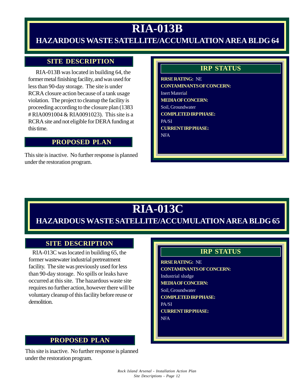## **RIA-013B**

## **HAZARDOUS WASTE SATELLITE/ACCUMULATION AREA BLDG 64**

## **SITE DESCRIPTION**

 RIA-013B was located in building 64, the former metal finishing facility, and was used for less than 90-day storage. The site is under RCRA closure action because of a tank usage violation. The project to cleanup the facility is proceeding according to the closure plan (1383 # RIA0091004 & RIA0091023). This site is a RCRA site and not eligible for DERA funding at this time.

### **PROPOSED PLAN**

This site is inactive. No further response is planned under the restoration program.

### **IRP STATUS**

**RRSE RATING:** NE **CONTAMINANTS OF CONCERN:** Inert Material **MEDIA OF CONCERN:** Soil, Groundwater **COMPLETED IRP PHASE:** PA/SI **CURRENT IRP PHASE:** NFA

## **RIA-013C**

## **HAZARDOUS WASTE SATELLITE/ACCUMULATION AREA BLDG 65**

### **SITE DESCRIPTION**

 RIA-013C was located in building 65, the former wastewater industrial pretreatment facility. The site was previously used for less than 90-day storage. No spills or leaks have occurred at this site. The hazardous waste site requires no further action, however there will be voluntary cleanup of this facility before reuse or demolition.

## **PROPOSED PLAN**

This site is inactive. No further response is planned under the restoration program.

## **IRP STATUS**

**RRSE RATING:** NE **CONTAMINANTS OF CONCERN:** Industrial sludge **MEDIA OF CONCERN:** Soil, Groundwater **COMPLETED IRP PHASE:** PA/SI **CURRENT IRP PHASE:** NFA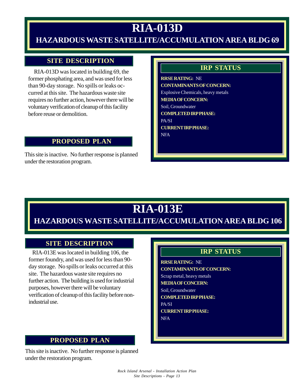## **RIA-013D**

## **HAZARDOUS WASTE SATELLITE/ACCUMULATION AREA BLDG 69**

### **SITE DESCRIPTION**

 RIA-013D was located in building 69, the former phosphating area, and was used for less than 90-day storage. No spills or leaks occurred at this site. The hazardous waste site requires no further action, however there will be voluntary verification of cleanup of this facility before reuse or demolition.

#### **PROPOSED PLAN**

This site is inactive. No further response is planned under the restoration program.

### **IRP STATUS**

**RRSE RATING:** NE **CONTAMINANTS OF CONCERN:** Explosive Chemicals, heavy metals **MEDIA OF CONCERN:** Soil, Groundwater **COMPLETED IRP PHASE:** PA/SI **CURRENT IRP PHASE:** NFA

## **RIA-013E**

## **HAZARDOUS WASTE SATELLITE/ACCUMULATION AREA BLDG 106**

### **SITE DESCRIPTION**

 RIA-013E was located in building 106, the former foundry, and was used for less than 90 day storage. No spills or leaks occurred at this site. The hazardous waste site requires no further action. The building is used for industrial purposes, however there will be voluntary verification of cleanup of this facility before nonindustrial use.

### **PROPOSED PLAN**

This site is inactive. No further response is planned under the restoration program.

## **IRP STATUS**

**RRSE RATING:** NE **CONTAMINANTS OF CONCERN:** Scrap metal, heavy metals **MEDIA OF CONCERN:** Soil, Groundwater **COMPLETED IRP PHASE:** PA/SI **CURRENT IRP PHASE:**

NFA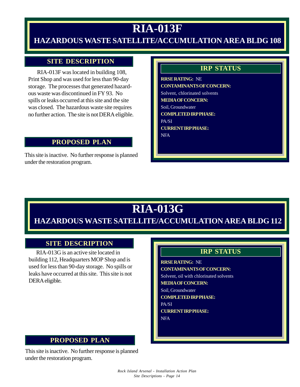## **RIA-013F**

## **HAZARDOUS WASTE SATELLITE/ACCUMULATION AREA BLDG 108**

### **SITE DESCRIPTION**

 RIA-013F was located in building 108, Print Shop and was used for less than 90-day storage. The processes that generated hazardous waste was discontinued in FY 93. No spills or leaks occurred at this site and the site was closed. The hazardous waste site requires no further action. The site is not DERA eligible.

#### **PROPOSED PLAN**

This site is inactive. No further response is planned under the restoration program.

### **IRP STATUS**

**RRSE RATING:** NE **CONTAMINANTS OF CONCERN:** Solvent, chlorinated solvents **MEDIA OF CONCERN:** Soil, Groundwater **COMPLETED IRP PHASE:** PA/SI **CURRENT IRP PHASE:** NFA

## **RIA-013G**

## **HAZARDOUS WASTE SATELLITE/ACCUMULATION AREA BLDG 112**

### **SITE DESCRIPTION**

 RIA-013G is an active site located in building 112, Headquarters MOP Shop and is used for less than 90-day storage. No spills or leaks have occurred at this site. This site is not DERA eligible.

## **IRP STATUS**

**RRSE RATING:** NE **CONTAMINANTS OF CONCERN:** Solvent, oil with chlorinated solvents **MEDIA OF CONCERN:**

Soil, Groundwater

**COMPLETED IRP PHASE:**

PA/SI **CURRENT IRP PHASE:**

NFA

### **PROPOSED PLAN**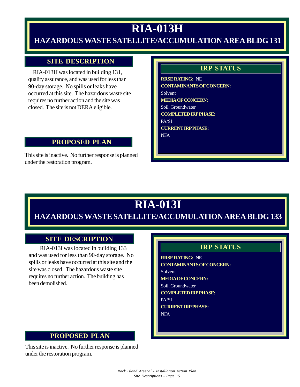## **RIA-013H**

## **HAZARDOUS WASTE SATELLITE/ACCUMULATION AREA BLDG 131**

### **SITE DESCRIPTION**

 RIA-013H was located in building 131, quality assurance, and was used for less than 90-day storage. No spills or leaks have occurred at this site. The hazardous waste site requires no further action and the site was closed. The site is not DERA eligible.

#### **PROPOSED PLAN**

This site is inactive. No further response is planned under the restoration program.

### **IRP STATUS**

**RRSE RATING:** NE **CONTAMINANTS OF CONCERN:** Solvent **MEDIA OF CONCERN:** Soil, Groundwater **COMPLETED IRP PHASE:** PA/SI **CURRENT IRP PHASE:** NFA

## **RIA-013I**

## **HAZARDOUS WASTE SATELLITE/ACCUMULATION AREA BLDG 133**

### **SITE DESCRIPTION**

 RIA-013I was located in building 133 and was used for less than 90-day storage. No spills or leaks have occurred at this site and the site was closed. The hazardous waste site requires no further action. The building has been demolished.

### **IRP STATUS**

**RRSE RATING:** NE **CONTAMINANTS OF CONCERN:** Solvent **MEDIA OF CONCERN:** Soil, Groundwater **COMPLETED IRP PHASE:** PA/SI **CURRENT IRP PHASE:** NFA

### **PROPOSED PLAN**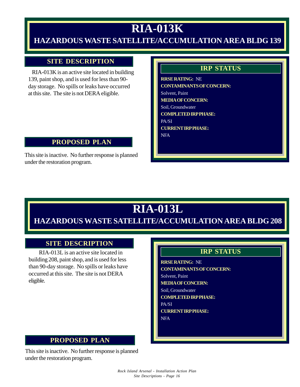## **RIA-013K**

## **HAZARDOUS WASTE SATELLITE/ACCUMULATION AREA BLDG 139**

### **SITE DESCRIPTION**

 RIA-013K is an active site located in building 139, paint shop, and is used for less than 90 day storage. No spills or leaks have occurred at this site. The site is not DERA eligible.

#### **PROPOSED PLAN**

This site is inactive. No further response is planned under the restoration program.

### **IRP STATUS**

**RRSE RATING:** NE **CONTAMINANTS OF CONCERN:** Solvent, Paint **MEDIA OF CONCERN:** Soil, Groundwater **COMPLETED IRP PHASE:** PA/SI **CURRENT IRP PHASE:** NFA

## **RIA-013L**

## **HAZARDOUS WASTE SATELLITE/ACCUMULATION AREA BLDG 208**

### **SITE DESCRIPTION**

 RIA-013L is an active site located in building 208, paint shop, and is used for less than 90-day storage. No spills or leaks have occurred at this site. The site is not DERA eligible.

## **IRP STATUS**

**RRSE RATING:** NE **CONTAMINANTS OF CONCERN:** Solvent, Paint **MEDIA OF CONCERN:** Soil, Groundwater **COMPLETED IRP PHASE:** PA/SI **CURRENT IRP PHASE:** NFA

### **PROPOSED PLAN**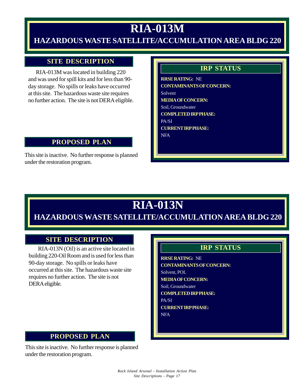## **RIA-013M**

## **HAZARDOUS WASTE SATELLITE/ACCUMULATION AREA BLDG 220**

### **SITE DESCRIPTION**

 RIA-013M was located in building 220 and was used for spill kits and for less than 90 day storage. No spills or leaks have occurred at this site. The hazardous waste site requires no further action. The site is not DERA eligible.

#### **PROPOSED PLAN**

This site is inactive. No further response is planned under the restoration program.

### **IRP STATUS**

**RRSE RATING:** NE **CONTAMINANTS OF CONCERN:** Solvent **MEDIA OF CONCERN:** Soil, Groundwater **COMPLETED IRP PHASE:** PA/SI **CURRENT IRP PHASE:** NFA

## **RIA-013N**

## **HAZARDOUS WASTE SATELLITE/ACCUMULATION AREA BLDG 220**

#### **SITE DESCRIPTION**

 RIA-013N (Oil) is an active site located in building 220-Oil Room and is used for less than 90-day storage. No spills or leaks have occurred at this site. The hazardous waste site requires no further action. The site is not DERA eligible.

### **IRP STATUS**

**RRSE RATING:** NE **CONTAMINANTS OF CONCERN:** Solvent, POL **MEDIA OF CONCERN:** Soil, Groundwater **COMPLETED IRP PHASE:** PA/SI **CURRENT IRP PHASE:** NFA

#### **PROPOSED PLAN**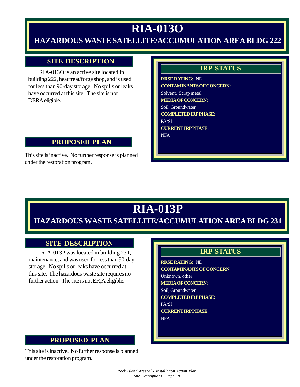## **RIA-013O**

## **HAZARDOUS WASTE SATELLITE/ACCUMULATION AREA BLDG 222**

### **SITE DESCRIPTION**

 RIA-013O is an active site located in building 222, heat treat/forge shop, and is used for less than 90-day storage. No spills or leaks have occurred at this site. The site is not DERA eligible.

#### **PROPOSED PLAN**

This site is inactive. No further response is planned under the restoration program.

### **IRP STATUS**

**RRSE RATING:** NE **CONTAMINANTS OF CONCERN:** Solvent, Scrap metal **MEDIA OF CONCERN:** Soil, Groundwater **COMPLETED IRP PHASE:** PA/SI **CURRENT IRP PHASE:** NFA

## **RIA-013P**

**HAZARDOUS WASTE SATELLITE/ACCUMULATION AREA BLDG 231**

### **SITE DESCRIPTION**

 RIA-013P was located in building 231, maintenance, and was used for less than 90-day storage. No spills or leaks have occurred at this site. The hazardous waste site requires no further action. The site is not ER, A eligible.

## **IRP STATUS**

**RRSE RATING:** NE **CONTAMINANTS OF CONCERN:** Unknown, other **MEDIA OF CONCERN:** Soil, Groundwater **COMPLETED IRP PHASE:** PA/SI **CURRENT IRP PHASE:** NFA

### **PROPOSED PLAN**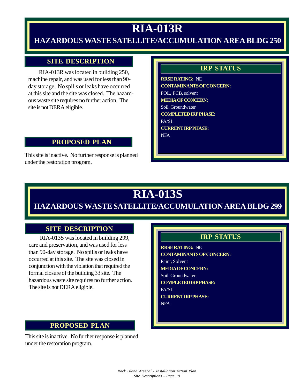## **RIA-013R**

## **HAZARDOUS WASTE SATELLITE/ACCUMULATION AREA BLDG 250**

### **SITE DESCRIPTION**

 RIA-013R was located in building 250, machine repair, and was used for less than 90 day storage. No spills or leaks have occurred at this site and the site was closed. The hazardous waste site requires no further action. The site is not DERA eligible.

#### **PROPOSED PLAN**

This site is inactive. No further response is planned under the restoration program.

### **IRP STATUS**

**RRSE RATING:** NE **CONTAMINANTS OF CONCERN:** POL, PCB, solvent **MEDIA OF CONCERN:** Soil, Groundwater **COMPLETED IRP PHASE:** PA/SI **CURRENT IRP PHASE:** NFA

## **RIA-013S**

## **HAZARDOUS WASTE SATELLITE/ACCUMULATION AREA BLDG 299**

### **SITE DESCRIPTION**

 RIA-013S was located in building 299, care and preservation, and was used for less than 90-day storage. No spills or leaks have occurred at this site. The site was closed in conjunction with the violation that required the formal closure of the building 33 site. The hazardous waste site requires no further action. The site is not DERA eligible.

#### **PROPOSED PLAN**

This site is inactive. No further response is planned under the restoration program.

### **IRP STATUS**

**RRSE RATING:** NE **CONTAMINANTS OF CONCERN:** Paint, Solvent **MEDIA OF CONCERN:** Soil, Groundwater **COMPLETED IRP PHASE:** PA/SI **CURRENT IRP PHASE:** NFA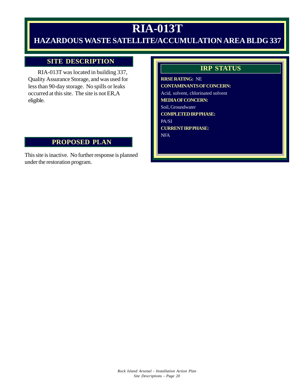## **RIA-013T**

## **HAZARDOUS WASTE SATELLITE/ACCUMULATION AREA BLDG 337**

### **SITE DESCRIPTION**

 RIA-013T was located in building 337, Quality Assurance Storage, and was used for less than 90-day storage. No spills or leaks occurred at this site. The site is not ER,A eligible.

### **PROPOSED PLAN**

This site is inactive. No further response is planned under the restoration program.

### **IRP STATUS**

**RRSE RATING:** NE **CONTAMINANTS OF CONCERN:** Acid, solvent, chlorinated solvent **MEDIA OF CONCERN:** Soil, Groundwater **COMPLETED IRP PHASE:** PA/SI **CURRENT IRP PHASE:** NFA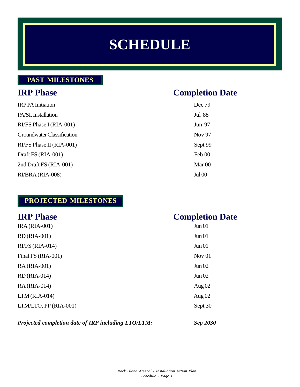## **SCHEDULE**

## **PAST MILESTONES**

## **IRP Phase Completion Date**

| <b>IRPPA</b> Initiation    | Dec 79        |
|----------------------------|---------------|
| PA/SI, Installation        | <b>Jul 88</b> |
| RI/FS Phase I (RIA-001)    | Jun 97        |
| Groundwater Classification | <b>Nov 97</b> |
| RI/FS Phase II (RIA-001)   | Sept 99       |
| Draft FS (RIA-001)         | Feb 00        |
| 2nd Draft FS (RIA-001)     | Mar 00        |
| RI/BRA (RIA-008)           | <b>Jul 00</b> |

## **PROJECTED MILESTONES**

| <b>IRP Phase</b>      | <b>Completion Date</b> |
|-----------------------|------------------------|
| <b>IRA (RIA-001)</b>  | Jun 01                 |
| RD (RIA-001)          | Jun 01                 |
| $RI/FS (RIA-014)$     | Jun 01                 |
| Final FS (RIA-001)    | Nov $01$               |
| RA (RIA-001)          | Jun 02                 |
| $RD(RIA-014)$         | Jun 02                 |
| RA (RIA-014)          | Aug $02$               |
| $LTM(RIA-014)$        | Aug $02$               |
| LTM/LTO, PP (RIA-001) | Sept 30                |
|                       |                        |

#### *Projected completion date of IRP including LTO/LTM: Sep 2030*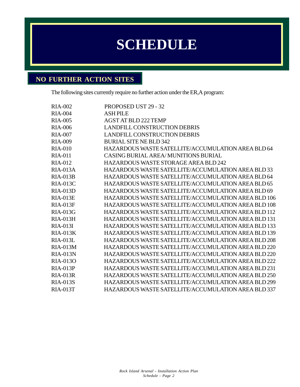## **SCHEDULE**

## **NO FURTHER ACTION SITES**

The following sites currently require no further action under the ER,A program:

| <b>RIA-002</b>  | <b>PROPOSED UST 29 - 32</b>                         |
|-----------------|-----------------------------------------------------|
| <b>RIA-004</b>  | <b>ASH PILE</b>                                     |
| <b>RIA-005</b>  | <b>AGST AT BLD 222 TEMP</b>                         |
| <b>RIA-006</b>  | <b>LANDFILL CONSTRUCTION DEBRIS</b>                 |
| <b>RIA-007</b>  | <b>LANDFILL CONSTRUCTION DEBRIS</b>                 |
| <b>RIA-009</b>  | <b>BURIAL SITE NE BLD 342</b>                       |
| <b>RIA-010</b>  | HAZARDOUS WASTE SATELLITE/ACCUMULATION AREA BLD 64  |
| <b>RIA-011</b>  | CASING BURIAL AREA/MUNITIONS BURIAL                 |
| <b>RIA-012</b>  | <b>HAZARDOUS WASTE STORAGE AREA BLD 242</b>         |
| <b>RIA-013A</b> | HAZARDOUS WASTE SATELLITE/ACCUMULATION AREA BLD 33  |
| <b>RIA-013B</b> | HAZARDOUS WASTE SATELLITE/ACCUMULATION AREA BLD 64  |
| <b>RIA-013C</b> | HAZARDOUS WASTE SATELLITE/ACCUMULATION AREA BLD 65  |
| <b>RIA-013D</b> | HAZARDOUS WASTE SATELLITE/ACCUMULATION AREA BLD 69  |
| <b>RIA-013E</b> | HAZARDOUS WASTE SATELLITE/ACCUMULATION AREA BLD 106 |
| $RIA-013F$      | HAZARDOUS WASTE SATELLITE/ACCUMULATION AREA BLD 108 |
| <b>RIA-013G</b> | HAZARDOUS WASTE SATELLITE/ACCUMULATION AREA BLD 112 |
| <b>RIA-013H</b> | HAZARDOUS WASTE SATELLITE/ACCUMULATION AREA BLD 131 |
| RIA-013I        | HAZARDOUS WASTE SATELLITE/ACCUMULATION AREA BLD 133 |
| $RIA-013K$      | HAZARDOUS WASTE SATELLITE/ACCUMULATION AREA BLD 139 |
| <b>RIA-013L</b> | HAZARDOUS WASTE SATELLITE/ACCUMULATION AREA BLD 208 |
| <b>RIA-013M</b> | HAZARDOUS WASTE SATELLITE/ACCUMULATION AREA BLD 220 |
| $RIA-013N$      | HAZARDOUS WASTE SATELLITE/ACCUMULATION AREA BLD 220 |
| RIA-013O        | HAZARDOUS WASTE SATELLITE/ACCUMULATION AREA BLD 222 |
| RIA-013P        | HAZARDOUS WASTE SATELLITE/ACCUMULATION AREA BLD 231 |
| <b>RIA-013R</b> | HAZARDOUS WASTE SATELLITE/ACCUMULATION AREA BLD 250 |
| <b>RIA-013S</b> | HAZARDOUS WASTE SATELLITE/ACCUMULATION AREA BLD 299 |
| <b>RIA-013T</b> | HAZARDOUS WASTE SATELLITE/ACCUMULATION AREA BLD 337 |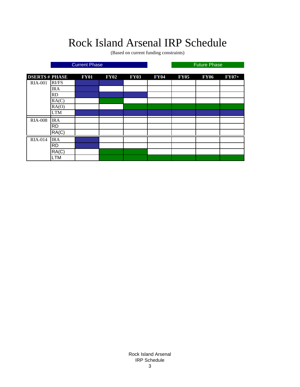## Rock Island Arsenal IRP Schedule

(Based on current funding constraints)

**DSERTS # PHASE FY01 FY02 FY03 FY04 FY05 FY06 FY07+** RIA-001 RI/FS IRA RD RA(C)  $RA(O)$ LTM IRA RD RA(C) IRA RD RA(C) LTM RIA-014 RIA-008 **Current Phase Future Phase Future Phase** 

> Rock Island Arsenal IRP Schedule 3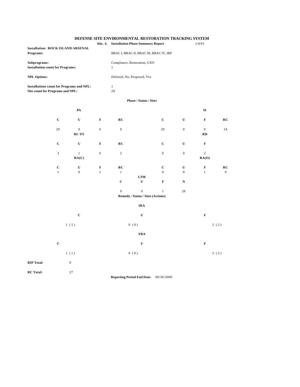#### **DEFENSE SITE ENVIRONMENTAL RESTORATION TRACKING SYSTEM**

|                                                                                      | Site, 4.         | <b>Installation Phase Summary Report</b><br>$1/4/01$ |                                                  |                |                  |                         |                |  |
|--------------------------------------------------------------------------------------|------------------|------------------------------------------------------|--------------------------------------------------|----------------|------------------|-------------------------|----------------|--|
| <b>Installation: ROCK ISLAND ARSENAL</b><br>Programs:                                |                  | BRAC I, BRAC II, BRAC III, BRAC IV, IRP              |                                                  |                |                  |                         |                |  |
| Subprograms:<br><b>Installation count for Programs:</b>                              |                  | Compliance, Restoration, UXO<br>$\,1$                |                                                  |                |                  |                         |                |  |
| <b>NPL Options:</b>                                                                  |                  |                                                      | Delisted, No, Proposed, Yes                      |                |                  |                         |                |  |
| <b>Installations count for Programs and NPL:</b><br>Site count for Programs and NPL: |                  | $1\,$<br>29                                          |                                                  |                |                  |                         |                |  |
|                                                                                      |                  |                                                      | <b>Phase / Status / Sites</b>                    |                |                  |                         |                |  |
| PA                                                                                   |                  |                                                      |                                                  |                |                  | ${\bf SI}$              |                |  |
| $\mathbf C$<br>$\mathbf U$                                                           | $\mathbf F$      | RC                                                   |                                                  | $\mathbf C$    | ${\bf U}$        | $\mathbf F$             | RC             |  |
| $\mathbf 0$<br>29<br>RI/FS                                                           | $\mathbf 0$      | $\boldsymbol{0}$                                     |                                                  | 29             | $\mathbf{0}$     | $\boldsymbol{0}$<br>RD  | 24             |  |
| $\mathbf C$<br>$\mathbf U$                                                           | $\mathbf F$      | RC                                                   |                                                  | $\mathbf C$    | ${\bf U}$        | $\mathbf F$             |                |  |
| $\mathfrak{Z}$<br>$\,1\,$<br>RA(C)                                                   | $\boldsymbol{0}$ | $\sqrt{2}$                                           |                                                  | $\overline{0}$ | $\boldsymbol{0}$ | $\overline{c}$<br>RA(O) |                |  |
| $\mathbf C$<br>$\mathbf U$                                                           | $\mathbf F$      | RC                                                   |                                                  | $\mathbf C$    | U                | $\mathbf F$             | RC             |  |
| $\overline{0}$<br>$\mathbf{1}$                                                       | $\overline{2}$   | $1\,$                                                | $\bf LTM$                                        | $\overline{0}$ | $\mathbf{0}$     | $\mathbf{1}$            | $\overline{0}$ |  |
|                                                                                      |                  | $\mathbf C$                                          | $\mathbf U$                                      | $\mathbf F$    | $\mathbf N$      |                         |                |  |
|                                                                                      |                  | $\boldsymbol{0}$                                     | $\mathbf 0$<br>Remedy / Status / Sites (Actions) | $\mathbf{1}$   | 28               |                         |                |  |
|                                                                                      |                  |                                                      | <b>IRA</b>                                       |                |                  |                         |                |  |
| $\mathbf C$                                                                          |                  |                                                      | $\mathbf U$                                      |                |                  | $\mathbf F$             |                |  |
| 1(1)                                                                                 |                  | 0(0)                                                 |                                                  |                |                  | 2(2)                    |                |  |
|                                                                                      |                  |                                                      | <b>FRA</b>                                       |                |                  |                         |                |  |
| $\mathbf C$                                                                          |                  |                                                      | $\mathbf U$                                      |                |                  | $\mathbf F$             |                |  |
| 1(1)                                                                                 |                  |                                                      | 0(0)                                             |                |                  |                         | 2(2)           |  |
| $\boldsymbol{0}$<br><b>RIP Total:</b>                                                |                  |                                                      |                                                  |                |                  |                         |                |  |
| <b>RC</b> Total:<br>27                                                               |                  |                                                      | Reporting Period End Date: 09/30/2000            |                |                  |                         |                |  |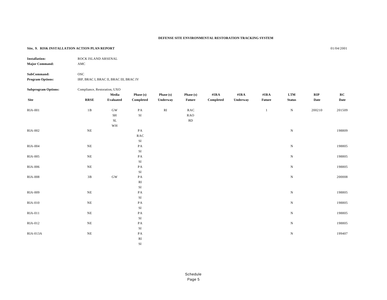#### **DEFENSE SITE ENVIRONMENTAL RESTORATION TRACKING SYSTEM**

#### **Site, 9. RISK INSTALLATION ACTION PLAN REPORT** 01/04/2001

| <b>Installation:</b><br><b>Major Command:</b> | ROCK ISLAND ARSENAL<br>AMC   |                                         |             |           |               |           |          |               |               |            |         |
|-----------------------------------------------|------------------------------|-----------------------------------------|-------------|-----------|---------------|-----------|----------|---------------|---------------|------------|---------|
| SubCommand:<br><b>Program Options:</b>        | <b>OSC</b>                   | IRP, BRAC I, BRAC II, BRAC III, BRAC IV |             |           |               |           |          |               |               |            |         |
| <b>Subprogram Options:</b>                    | Compliance, Restoration, UXO | Media                                   | Phase $(s)$ | Phase (s) | Phase (s)     | #IRA      | #IRA     | #IRA          | <b>LTM</b>    | <b>RIP</b> | $_{RC}$ |
| Site                                          | <b>RRSE</b>                  | Evaluated                               | Completed   | Underway  | <b>Future</b> | Completed | Underway | <b>Future</b> | <b>Status</b> | Date       | Date    |

SI

| $_{\rm 511c}$  | <b>KKOL</b>     | evaluated           | Compieted               | Unuerway               | ruture       | compreted | Unuerway | ruture | status       | Date   | Date   |
|----------------|-----------------|---------------------|-------------------------|------------------------|--------------|-----------|----------|--------|--------------|--------|--------|
| <b>RIA-001</b> | $1\,\mathrm{B}$ | $\rm{GW}$           | PA                      | $\mathbf{R}\mathbf{I}$ | RAC          |           |          |        | ${\bf N}$    | 200210 | 201509 |
|                |                 | $\operatorname{SH}$ | $\rm{SI}$               |                        | $_{\rm RAO}$ |           |          |        |              |        |        |
|                |                 | $\operatorname{SL}$ |                         |                        | RD           |           |          |        |              |        |        |
|                |                 | WH                  |                         |                        |              |           |          |        |              |        |        |
| RIA-002        | $\rm NE$        |                     | PA                      |                        |              |           |          |        | $\, {\rm N}$ |        | 198809 |
|                |                 |                     | $_{\rm RAC}$            |                        |              |           |          |        |              |        |        |
|                |                 |                     | $\rm{SI}$               |                        |              |           |          |        |              |        |        |
| <b>RIA-004</b> | $\rm NE$        |                     | PA                      |                        |              |           |          |        | $\, {\rm N}$ |        | 198805 |
|                |                 |                     | $\rm{SI}$               |                        |              |           |          |        |              |        |        |
| RIA-005        | $\rm NE$        |                     | $\mathbf{PA}$           |                        |              |           |          |        | ${\bf N}$    |        | 198805 |
|                |                 |                     | $\rm{SI}$               |                        |              |           |          |        |              |        |        |
| <b>RIA-006</b> | $\rm NE$        |                     | $\mathbf{PA}$           |                        |              |           |          |        | ${\bf N}$    |        | 198805 |
|                |                 |                     | ${\rm SI}$              |                        |              |           |          |        |              |        |        |
| <b>RIA-008</b> | $3\,\mathrm{B}$ | $\rm{GW}$           | $\mathbf{PA}$           |                        |              |           |          |        | ${\bf N}$    |        | 200008 |
|                |                 |                     | $\mathbf{R}\mathbf{I}$  |                        |              |           |          |        |              |        |        |
|                |                 |                     | $\rm{SI}$               |                        |              |           |          |        |              |        |        |
| RIA-009        | $\rm NE$        |                     | $\mathbf{PA}$           |                        |              |           |          |        | ${\rm N}$    |        | 198805 |
|                |                 |                     | $\rm{SI}$               |                        |              |           |          |        |              |        |        |
| RIA-010        | $\rm NE$        |                     | $\mathbf{PA}$           |                        |              |           |          |        | ${\bf N}$    |        | 198805 |
|                |                 |                     | $\rm{SI}$               |                        |              |           |          |        |              |        |        |
| RIA-011        | $\rm NE$        |                     | $\mathbf{PA}$           |                        |              |           |          |        | $\, {\rm N}$ |        | 198805 |
|                |                 |                     | $\rm SI$                |                        |              |           |          |        |              |        |        |
| RIA-012        | $\rm NE$        |                     | $\mathbf{PA}$           |                        |              |           |          |        | ${\bf N}$    |        | 198805 |
|                |                 |                     | $\rm{SI}$               |                        |              |           |          |        |              |        |        |
| RIA-013A       | $\rm NE$        |                     | $\mathbf{PA}$           |                        |              |           |          |        | $\, {\rm N}$ |        | 199407 |
|                |                 |                     | $\mathbb{R}\mathcal{I}$ |                        |              |           |          |        |              |        |        |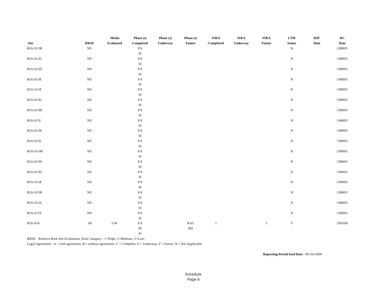|             |                 | Media     | Phase (s)                 | Phase (s) | Phase (s)              | $\#$ <b>IRA</b> | $\#$ <b>IRA</b> | $\#\mathbf{IRA}$ | $\bf LTM$     | RIP  | RC     |
|-------------|-----------------|-----------|---------------------------|-----------|------------------------|-----------------|-----------------|------------------|---------------|------|--------|
| <b>Site</b> | <b>RRSE</b>     | Evaluated | Completed                 | Underway  | <b>Future</b>          | Completed       | Underway        | <b>Future</b>    | <b>Status</b> | Date | Date   |
| RIA-013B    | $\rm NE$        |           | $\mathbf{PA}$             |           |                        |                 |                 |                  | ${\bf N}$     |      | 198805 |
|             |                 |           | $\rm SI$                  |           |                        |                 |                 |                  |               |      |        |
| RIA-013C    | $\rm NE$        |           | $\mathbf{PA}$             |           |                        |                 |                 |                  | ${\bf N}$     |      | 198805 |
|             |                 |           | $\rm SI$                  |           |                        |                 |                 |                  |               |      |        |
| RIA-013D    | $\rm NE$        |           | $\mathbf{PA}$             |           |                        |                 |                 |                  | ${\bf N}$     |      | 198805 |
|             |                 |           | $\rm SI$                  |           |                        |                 |                 |                  |               |      |        |
| $RIA-013E$  | $\rm NE$        |           | $\mathbf{PA}$             |           |                        |                 |                 |                  | ${\bf N}$     |      | 198805 |
|             |                 |           | $\rm SI$                  |           |                        |                 |                 |                  |               |      |        |
| RIA-013F    | $\rm NE$        |           | $\mathbf{PA}$             |           |                        |                 |                 |                  | ${\bf N}$     |      | 198805 |
|             |                 |           | $\rm SI$                  |           |                        |                 |                 |                  |               |      |        |
| RIA-013G    | $\rm NE$        |           | $\mathbf{PA}$             |           |                        |                 |                 |                  | ${\bf N}$     |      | 198805 |
|             |                 |           | $\rm SI$                  |           |                        |                 |                 |                  |               |      |        |
| RIA-013H    | $\rm NE$        |           | $\mathbf{PA}$             |           |                        |                 |                 |                  | ${\bf N}$     |      | 198805 |
|             |                 |           | $\rm SI$                  |           |                        |                 |                 |                  |               |      |        |
| RIA-013I    | $\rm NE$        |           | $\mathbf{PA}$             |           |                        |                 |                 |                  | ${\bf N}$     |      | 198805 |
|             |                 |           | $\rm SI$                  |           |                        |                 |                 |                  |               |      |        |
| $RIA-013K$  | $\rm NE$        |           | $\mathbf{PA}$             |           |                        |                 |                 |                  | ${\bf N}$     |      | 198805 |
|             |                 |           | $\rm SI$                  |           |                        |                 |                 |                  |               |      |        |
| RIA-013L    | $\rm NE$        |           | $\mathbf{PA}$             |           |                        |                 |                 |                  | ${\bf N}$     |      | 198805 |
|             |                 |           | $\rm SI$                  |           |                        |                 |                 |                  |               |      |        |
| RIA-013M    | $\rm NE$        |           | $\mathbf{PA}$             |           |                        |                 |                 |                  | ${\bf N}$     |      | 198805 |
|             |                 |           | $\rm SI$                  |           |                        |                 |                 |                  |               |      |        |
| RIA-013N    | $\rm NE$        |           | $\mathbf{PA}$             |           |                        |                 |                 |                  | ${\bf N}$     |      | 198805 |
|             |                 |           | $\rm SI$                  |           |                        |                 |                 |                  |               |      |        |
| RIA-013O    | $\rm NE$        |           | $\mathbf{PA}$             |           |                        |                 |                 |                  | ${\bf N}$     |      | 198805 |
|             |                 |           | $\rm SI$                  |           |                        |                 |                 |                  |               |      |        |
| RIA-013P    | $\rm NE$        |           | $\mathbf{PA}$             |           |                        |                 |                 |                  | ${\bf N}$     |      | 198805 |
|             |                 |           | $\rm SI$                  |           |                        |                 |                 |                  |               |      |        |
| RIA-013R    | $\rm NE$        |           | $\mathbf{PA}$             |           |                        |                 |                 |                  | ${\bf N}$     |      | 198805 |
|             |                 |           | $\rm SI$                  |           |                        |                 |                 |                  |               |      |        |
| RIA-013S    | $\rm NE$        |           | $\mathbf{PA}$             |           |                        |                 |                 |                  | ${\bf N}$     |      | 198805 |
| RIA-013T    | $\rm NE$        |           | $\rm SI$<br>PA            |           |                        |                 |                 |                  | ${\bf N}$     |      | 198805 |
|             |                 |           |                           |           |                        |                 |                 |                  |               |      |        |
| RIA-014     | $3\,\mathrm{B}$ | $\rm{GW}$ | $\rm SI$<br>$\mathbf{PA}$ |           | $_{\rm RAC}$           | $\mathbf{1}$    |                 | $1\,$            | $\mathbf F$   |      | 200308 |
|             |                 |           | $\mathbb{R}\mathcal{I}$   |           | $\mathbb{R}\mathbb{D}$ |                 |                 |                  |               |      |        |
|             |                 |           | SI                        |           |                        |                 |                 |                  |               |      |        |
|             |                 |           |                           |           |                        |                 |                 |                  |               |      |        |

RRSE - Relative Risk Site Evaluation; Risk Category - 1=High, 2=Medium, 3=Low;

Legal Agreement - A = with agreement, B = without agreement;  $C =$  Complete, U = Underway, F = Future, N = Not Applicable

**Reporting Period End Date:** 09/30/2000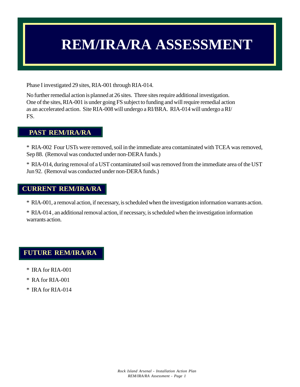## **REM/IRA/RA ASSESSMENT**

Phase I investigated 29 sites, RIA-001 through RIA-014.

No further remedial action is planned at 26 sites. Three sites require additional investigation. One of the sites, RIA-001 is under going FS subject to funding and will require remedial action as an accelerated action. Site RIA-008 will undergo a RI/BRA. RIA-014 will undergo a RI/ FS.

#### **PAST REM/IRA/RA**

\* RIA-002 Four USTs were removed, soil in the immediate area contaminated with TCEA was removed, Sep 88. (Removal was conducted under non-DERA funds.)

\* RIA-014, during removal of a UST contaminated soil was removed from the immediate area of the UST Jun 92. (Removal was conducted under non-DERA funds.)

#### **CURRENT REM/IRA/RA**

\* RIA-001, a removal action, if necessary, is scheduled when the investigation information warrants action.

\* RIA-014 , an additional removal action, if necessary, is scheduled when the investigation information warrants action.

#### **FUTURE REM/IRA/RA**

- \* IRA for RIA-001
- \* RA for RIA-001
- \* IRA for RIA-014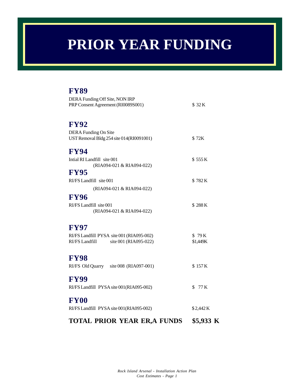## **PRIOR YEAR FUNDING**

## **FY89**

| <b>TOTAL PRIOR YEAR ER, A FUNDS</b>                                                                 | \$5,933 K         |
|-----------------------------------------------------------------------------------------------------|-------------------|
| <b>FY00</b><br>RI/FS Landfill PYSA site 001(RIA095-002)                                             | \$2,442K          |
| <b>FY99</b><br>RI/FS Landfill PYSA site 001(RIA095-002)                                             | \$<br>77 K        |
| <b>FY98</b><br>RI/FS Old Quarry site 008 (RIA097-001)                                               | \$157K            |
| <b>FY97</b><br>RI/FS Landfill PYSA site 001 (RIA095-002)<br>RI/FS Landfill<br>site 001 (RIA095-022) | \$79K<br>\$1,449K |
| <b>FY96</b><br>RI/FS Landfill site 001<br>(RIA094-021 & RIA094-022)                                 | \$288K            |
| <b>FY95</b><br>RI/FS Landfill site 001<br>(RIA094-021 & RIA094-022)                                 | \$782K            |
| <b>FY94</b><br>Intial RI Landfill site 001<br>(RIA094-021 & RIA094-022)                             | \$555K            |
| <b>FY92</b><br>DERA Funding On Site<br>UST Removal Bldg 254 site 014(RI0091001)                     | \$72K             |
| DERA Funding Off Site, NON IRP<br>PRP Consent Agreement (RI0089S001)                                | \$32K             |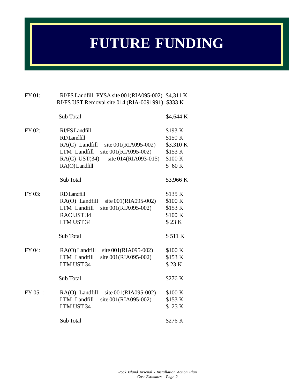## **FUTURE FUNDING**

| FY 01:  | RI/FS Landfill PYSA site 001(RIA095-002) \$4,311 K |           |
|---------|----------------------------------------------------|-----------|
|         | RI/FS UST Removal site 014 (RIA-0091991)           | \$333 K   |
|         | Sub Total                                          | \$4,644 K |
| FY 02:  | RI/FS Landfill                                     | \$193 K   |
|         | <b>RD</b> Landfill                                 | \$150K    |
|         | RA(C) Landfill<br>site $001(RIA095-002)$           | \$3,310 K |
|         | site 001(RIA095-002)<br>LTM Landfill               | \$153 K   |
|         | site 014(RIA093-015)<br>$RA(C)$ UST $(34)$         | \$100 K   |
|         | RA(O) Landfill                                     | $$60 K$   |
|         | Sub Total                                          | \$3,966 K |
| FY 03:  | <b>RD</b> Landfill                                 | \$135 K   |
|         | RA(O) Landfill site 001(RIA095-002)                | \$100 K   |
|         | site 001(RIA095-002)<br>LTM Landfill               | \$153 K   |
|         | RAC UST 34                                         | \$100 K   |
|         | LTM UST 34                                         | \$23K     |
|         | Sub Total                                          | \$511K    |
| FY 04:  | RA(O) Landfill<br>site 001(RIA095-002)             | \$100 K   |
|         | LTM Landfill<br>site 001(RIA095-002)               | \$153 K   |
|         | LTM UST 34                                         | \$23K     |
|         | Sub Total                                          | \$276 K   |
| FY 05 : | site 001(RIA095-002)<br>$RA(O)$ Landfill           | \$100 K   |
|         | site 001(RIA095-002)<br>LTM Landfill               | \$153 K   |
|         | LTM UST 34                                         | \$ 23 K   |
|         | Sub Total                                          | \$276 K   |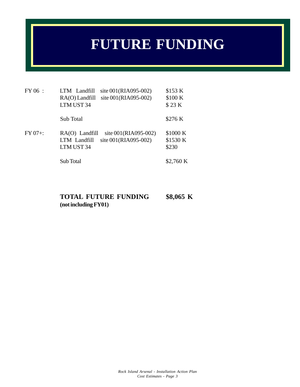## **FUTURE FUNDING**

| FY 06 :    | site 001(RIA095-002)<br>LTM Landfill<br>site 001(RIA095-002)<br>RA(O) Landfill<br>LTM UST 34   | \$153 K<br>\$100 K<br>\$23K   |
|------------|------------------------------------------------------------------------------------------------|-------------------------------|
|            | Sub Total                                                                                      | \$276 K                       |
| $FY 07 +:$ | site 001(RIA095-002)<br>$RA(O)$ Landfill<br>site 001(RIA095-002)<br>LTM Landfill<br>LTM UST 34 | \$1000 K<br>\$1530 K<br>\$230 |
|            | Sub Total                                                                                      | \$2,760 K                     |

### **TOTAL FUTURE FUNDING \$8,065 K (not including FY01)**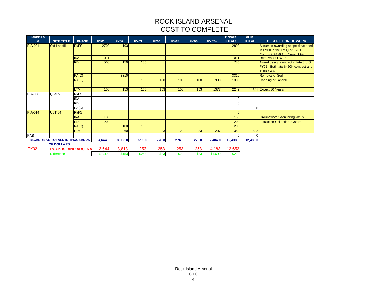### ROCK ISLAND ARSENAL COST TO COMPLETE

| <b>DSERTS</b><br># | <b>SITE TITLE</b>                      | <b>PHASE</b> | <b>FY01</b> | <b>FY02</b> | <b>FY03</b> | <b>FY04</b> | <b>FY05</b> | <b>FY06</b> | <b>FY07+</b> | <b>PHASE</b><br><b>TOTALS</b> | <b>SITE</b><br><b>TOTAL</b> | <b>DESCRIPTION OF WORK</b>          |
|--------------------|----------------------------------------|--------------|-------------|-------------|-------------|-------------|-------------|-------------|--------------|-------------------------------|-----------------------------|-------------------------------------|
| <b>RIA-001</b>     | <b>Old Landfill</b>                    | <b>RI/FS</b> | 2700        | 193         |             |             |             |             |              | 2893                          |                             | Assumes awarding scope developed    |
|                    |                                        |              |             |             |             |             |             |             |              |                               |                             | in FY00 in the 1st Q of FY01.       |
|                    |                                        |              |             |             |             |             |             |             |              |                               |                             | Contract: \$1.6M Corps S&A:         |
|                    |                                        | <b>IRA</b>   | 1011        |             |             |             |             |             |              | 1011                          |                             | <b>Removal of LNAPL</b>             |
|                    |                                        | <b>RD</b>    | 500         | 150         | 135         |             |             |             |              | 785                           |                             | Award design contract in late 3rd Q |
|                    |                                        |              |             |             |             |             |             |             |              |                               |                             | FY01. Estimate \$450K contract and  |
|                    |                                        |              |             |             |             |             |             |             |              |                               |                             | <b>\$50K S&amp;A</b>                |
|                    |                                        | RA(C)        |             | 3310        |             |             |             |             |              | 3310                          |                             | <b>Removal of Soil</b>              |
|                    |                                        | RA(O)        |             |             | 100         | 100         | 100         | 100         | 900          | 1300                          |                             | <b>Capping of Landfill</b>          |
|                    |                                        | <b>LTM</b>   | 100         | 153         | 153         | 153         | 153         | 153         | 1377         | 2242                          |                             | 11541 Expect 30 Years               |
| <b>RIA-008</b>     | Quarry                                 | RI/FS        |             |             |             |             |             |             |              |                               |                             |                                     |
|                    |                                        | <b>IRA</b>   |             |             |             |             |             |             |              |                               |                             |                                     |
|                    |                                        | <b>RD</b>    |             |             |             |             |             |             |              |                               |                             |                                     |
|                    |                                        | RA(C)        |             |             |             |             |             |             |              |                               | $\Omega$                    |                                     |
| <b>RIA-014</b>     | <b>UST 34</b>                          | <b>RI/FS</b> |             |             |             |             |             |             |              |                               |                             |                                     |
|                    |                                        | <b>IRA</b>   | 133         |             |             |             |             |             |              | 133                           |                             | <b>Groundwater Monitoring Wells</b> |
|                    |                                        | <b>RD</b>    | 200         |             |             |             |             |             |              | 200                           |                             | <b>Extraction Collection System</b> |
|                    |                                        | RA(C)        |             | 100         | 100         |             |             |             |              | 200                           |                             |                                     |
|                    |                                        | <b>LTM</b>   |             | 60          | 23          | 23          | 23          | 23          | 207          | 359                           | 892                         |                                     |
| <b>RAB</b>         |                                        |              |             |             |             |             |             |             |              |                               | $\Omega$                    |                                     |
|                    | <b>FISCAL YEAR TOTALS IN THOUSANDS</b> |              | 4,644.0     | 3,966.0     | 511.0       | 276.0       | 276.0       | 276.0       | 2,484.0      | 12,433.0                      | 12,433.0                    |                                     |
|                    | <b>OF DOLLARS</b>                      |              |             |             |             |             |             |             |              |                               |                             |                                     |
| <b>FY02</b>        | <b>ROCK ISLAND ARSENA</b>              |              | 3,644       | 3,813       | 253         | 253         | 253         | 253         | 4,183        | 12,652                        |                             |                                     |
|                    | <b>Difference</b>                      |              | $-$1,000$   | $-$153$     | $-$258$     | $-$ \$23    | $-$ \$23    | $-$23$      | \$1,699      | \$219                         |                             |                                     |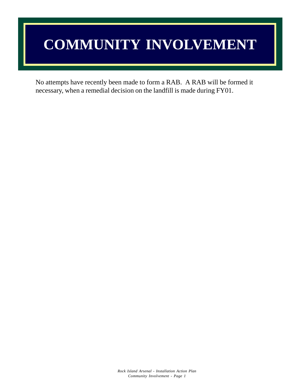## **COMMUNITY INVOLVEMENT**

No attempts have recently been made to form a RAB. A RAB will be formed it necessary, when a remedial decision on the landfill is made during FY01.